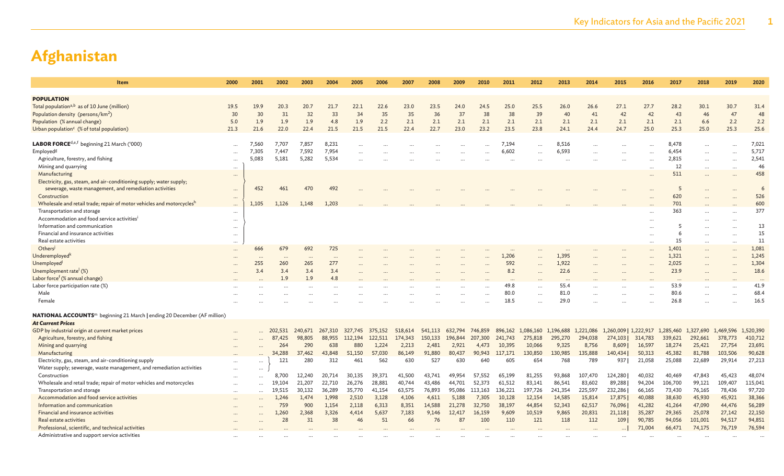| Item                                                                                                                   | 2000                 | 2001      | 2002       | 2003    | 2004      | 2005    | 2006    | 2007    | 2008    | 2009    | 2010       | 2011    | 2012      | 2013      | 2014      | 2015                  | 2016                 | 2017      | 2018      | 2019      | 2020      |
|------------------------------------------------------------------------------------------------------------------------|----------------------|-----------|------------|---------|-----------|---------|---------|---------|---------|---------|------------|---------|-----------|-----------|-----------|-----------------------|----------------------|-----------|-----------|-----------|-----------|
| POPULATION                                                                                                             |                      |           |            |         |           |         |         |         |         |         |            |         |           |           |           |                       |                      |           |           |           |           |
| Total population <sup>a,b</sup> as of 10 June (million)                                                                | 19.5                 | 19.9      | 20.3       | 20.7    | 21.7      | 22.1    | 22.6    | 23.0    | 23.5    | 24.0    | 24.5       | 25.0    | 25.5      | 26.0      | 26.6      | 27.1                  | 27.7                 | 28.2      | 30.1      | 30.7      | 31.4      |
| Population density (persons/km <sup>2</sup> )                                                                          | 30                   | 30        | 31         | 32      | 33        | 34      | 35      | 35      | 36      | 37      | 38         | 38      | 39        | 40        | 41        | 42                    | 42                   | 43        | 46        | 47        | 48        |
| Population (% annual change)                                                                                           | 5.0                  | 1.9       | 1.9        | 1.9     | 4.8       | 1.9     | 2.2     | 2.1     | 2.1     | 2.1     | 2.1        | 2.1     | 2.1       | 2.1       | 2.1       | 2.1                   | 2.1                  | 2.1       | 6.6       | 2.2       | 2.2       |
| Urban population <sup>c</sup> (% of total population)                                                                  | 21.3                 | 21.6      | 22.0       | 22.4    | 21.5      | 21.5    | 21.5    | 22.4    | 22.7    | 23.0    | 23.2       | 23.5    | 23.8      | 24.1      | 24.4      | 24.7                  | 25.0                 | 25.3      | 25.0      | 25.3      | 25.6      |
|                                                                                                                        |                      |           |            |         |           |         |         |         |         |         |            |         |           |           |           |                       |                      |           |           |           |           |
| <b>LABOR FORCE</b> <sup>d,e,f</sup> beginning 21 March ('000)                                                          | $\cdots$             | 7,560     | 7.707      | 7,857   | 8,231     |         |         |         |         |         |            | 7,194   |           | 8,516     |           |                       |                      | 8,478     |           |           | 7,021     |
| Employed <sup>g</sup>                                                                                                  |                      | 7,305     | 7,447      | 7,592   | 7,954     |         |         |         |         |         |            | 6,602   |           | 6,593     |           |                       |                      | 6,454     |           |           | 5,717     |
| Agriculture, forestry, and fishing                                                                                     | $\cdots$             | 5,083     | 5,181      | 5,282   | 5,534     |         |         |         |         |         |            |         |           |           |           |                       |                      | 2,815     |           |           | 2,541     |
| Mining and quarrying                                                                                                   |                      |           |            |         |           |         |         |         |         |         |            |         |           |           |           |                       | $\ddot{\phantom{a}}$ | 12        |           | $\ddotsc$ | 46        |
| Manufacturing                                                                                                          | $\cdots$             |           |            |         |           |         |         |         |         |         |            |         |           |           |           |                       |                      | 511       |           |           | 458       |
| Electricity, gas, steam, and air-conditioning supply; water supply;                                                    |                      |           |            |         |           |         |         |         |         |         |            |         |           |           |           |                       |                      |           |           |           |           |
| sewerage, waste management, and remediation activities                                                                 | $\cdots$             | 452       | 461        | 470     | 492       |         |         |         |         |         |            |         |           |           |           |                       |                      | -5        |           |           | -6        |
| Construction                                                                                                           | $\cdots$             |           |            |         |           |         |         |         |         |         |            |         |           |           |           |                       |                      | 620       |           |           | 526       |
| Wholesale and retail trade; repair of motor vehicles and motorcyclesh                                                  | $\cdots$             | 1,105     | 1,126      | 1,148   | 1,203     |         |         |         |         |         |            |         |           |           |           |                       |                      | 701       |           |           | 600       |
| Transportation and storage                                                                                             | $\cdots$             |           |            |         |           |         |         |         |         |         |            |         |           |           |           |                       |                      | 363       |           |           | 377       |
| Accommodation and food service activities <sup>i</sup>                                                                 | $\cdots$             |           |            |         |           |         |         |         |         |         |            |         |           |           |           |                       |                      |           |           |           |           |
| Information and communication                                                                                          | $\cdots$             |           |            |         |           |         |         |         |         |         |            |         |           |           |           |                       |                      |           |           |           | 13        |
| Financial and insurance activities                                                                                     | $\cdots$             |           |            |         |           |         |         |         |         |         |            |         |           |           |           |                       | $\ddot{\phantom{a}}$ |           | $\cdots$  |           | 15        |
| Real estate activities                                                                                                 | $\cdots$             |           |            |         |           |         |         |         |         |         |            |         |           |           |           |                       |                      | 15        | $\cdots$  |           | 11        |
| Others                                                                                                                 | $\cdots$             | 666       | 679        | 692     | 725       |         |         |         |         |         |            |         |           | $\cdots$  |           |                       | $\ddotsc$            | 1,401     | $\cdots$  |           | 1,081     |
| Underemployed <sup>k</sup>                                                                                             |                      | $\cdots$  |            |         | $\ddotsc$ |         |         |         |         |         |            | 1,206   |           | 1,395     |           |                       |                      | 1,321     | $\ddotsc$ |           | 1,245     |
| Unemployed <sup>l</sup>                                                                                                |                      | 255       | 260        | 265     | 277       |         |         |         |         |         |            | 592     |           | 1,922     |           |                       |                      | 2,025     |           |           | 1,304     |
| Unemployment rate (%)                                                                                                  |                      | 3.4       | 3.4        | 3.4     | 3.4       |         |         |         |         |         |            | 8.2     |           | 22.6      |           |                       |                      | 23.9      |           |           | 18.6      |
| Labor force <sup>f</sup> (% annual change)                                                                             |                      |           | 1.9        | 1.9     | 4.8       |         |         |         |         |         |            |         |           |           |           |                       |                      |           |           |           |           |
| Labor force participation rate (%)                                                                                     |                      |           |            |         |           |         |         |         |         |         |            | 49.8    | $\ddotsc$ | 55.4      |           |                       |                      | 53.9      |           |           | 41.9      |
| Male                                                                                                                   |                      |           |            |         |           |         |         |         |         |         |            | 80.0    | $\cdots$  | 81.0      |           |                       | $\ddot{\phantom{a}}$ | 80.6      |           |           | 68.4      |
| Female                                                                                                                 |                      |           |            |         |           |         |         |         |         |         |            | 18.5    |           | 29.0      |           |                       |                      | 26.8      |           |           | 16.5      |
|                                                                                                                        |                      |           |            |         |           |         |         |         |         |         |            |         |           |           |           |                       |                      |           |           |           |           |
| <b>NATIONAL ACCOUNTS</b> <sup>m</sup> beginning 21 March   ending 20 December (AF million)<br><b>At Current Prices</b> |                      |           |            |         |           |         |         |         |         |         |            |         |           |           |           |                       |                      |           |           |           |           |
| GDP by industrial origin at current market prices                                                                      |                      |           | 202,531    | 240,671 | 267,310   | 327,745 | 375,152 | 518,614 | 541,113 | 632,794 | 746,859    | 896,162 | 1,086,160 | 1,196,688 | 1,221,086 | 1,260,009   1,222,917 |                      | 1,285,460 | 1,327,690 | 1,469,596 | 1,520,390 |
| Agriculture, forestry, and fishing                                                                                     |                      |           | 87<br>,425 | 98,805  | 88,955    | 112,194 | 122,511 | 174,343 | 150,133 | 196,844 | 207,300    | 241,743 | 275,818   | 295,270   | 294,038   | 274,103               | 314,783              | 339,621   | 292,661   | 378,773   | 410,712   |
| Mining and quarrying                                                                                                   |                      |           | 264        | 290     | 638       | 880     | 1,224   | 2,213   | 2,481   | 2,921   | 4,473      | 10,395  | 10,066    | 9,325     | 8,756     | 8,609                 | 16,597               | 18,274    | 25,421    | 27,754    | 23,691    |
| Manufacturing                                                                                                          |                      |           | 34,288     | 37,462  | 43,848    | 51,150  | 57,030  | 86,149  | 91,880  | 80,437  | 90,943     | 117,171 | 130,850   | 130,985   | 135,888   | 140,434               | 50,313               | 45,382    | 81,788    | 103,506   | 90,628    |
| Electricity, gas, steam, and air-conditioning supply                                                                   |                      |           | 121        | 280     | 312       | 461     | 562     | 630     | 527     | 630     | 640        | 605     | 654       | 768       | 789       | 937                   | 21,058               | 25,088    | 22,689    | 29,914    | 27,213    |
| Water supply; sewerage, waste management, and remediation activities                                                   |                      | $\cdots$  |            |         |           |         |         |         |         |         |            |         |           |           |           |                       |                      |           |           |           |           |
| Construction                                                                                                           | $\cdots$             | $\cdots$  | 8,700      | 12.240  | 20,714    | 30,135  | 39,371  | 41,500  | 43,741  | 49,954  | 57<br>.552 | 65,199  | 81,255    | 93,868    | 107,470   | 124,280               | 40,032               | 40,469    | 47,843    | 45,423    | 48,074    |
| Wholesale and retail trade; repair of motor vehicles and motorcycles                                                   |                      | $\sim$    | 19.104     | 21.207  | 22,710    | 26,276  | 28,881  | 40,744  | 43,486  | 44,701  | 52,373     | 61,512  | 83,141    | 86,541    | 83,602    | 89,288                | 94,204               | 106,700   | 99,121    | 109,407   | 115,041   |
| Transportation and storage                                                                                             |                      |           | 19,515     | 30,132  | 36,289    | 35,770  | 41,154  | 63,575  | 76,893  | 95,086  | 113,163    | 136,221 | 197,726   | 241,354   | 225,597   | 232,286               | 66,165               | 73,430    | 76,165    | 78,436    | 97,720    |
| Accommodation and food service activities                                                                              | $\cdots$             | $\cdots$  | 1,246      | 1,474   | 1,998     | 2,510   | 3,128   | 4,106   | 4,611   | 5,188   | 7,305      | 10,128  | 12,154    | 14,585    | 15,814    | 17,875                | 40,088               | 38,630    | 45,930    | 45,921    | 38,366    |
| Information and communication                                                                                          | $\cdots$<br>$\cdots$ | $\ddotsc$ | 759        | 900     | 1,154     | 2,118   | 6,313   | 8,351   | 14,588  | 21,278  | 32,750     | 38,197  | 44,854    | 52,343    | 62,517    | 76,096                | 41,282               | 41,264    | 47,090    | 44,476    | 56,289    |
| Financial and insurance activities                                                                                     |                      |           | 1,260      | 2,368   | 3,326     | 4,414   | 5,637   | 7,183   | 9,146   | 12,417  | 16,159     | 9,609   | 10,519    | 9,865     | 20,831    | 21,118                | 35,287               | 29,365    | 25,078    | 27,142    | 22,150    |
| Real estate activities                                                                                                 |                      |           | 28         | 31      | 38        | 46      | 51      | 66      | 76      | 87      | 100        | 110     | 121       | 118       | 112       | 109                   | 90,785               | 94,056    | 101,001   | 94,517    | 94,851    |
| Professional, scientific, and technical activities                                                                     |                      |           |            |         |           |         |         |         |         |         |            |         |           |           |           | $\cdots$              | 71,004               | 66,471    | 74,175    | 76,719    | 76,594    |
| Administrative and support service activities                                                                          |                      |           |            |         |           |         |         |         |         |         |            |         |           |           |           |                       |                      |           |           |           |           |
|                                                                                                                        |                      |           |            |         |           |         |         |         |         |         |            |         |           |           |           |                       |                      |           |           |           |           |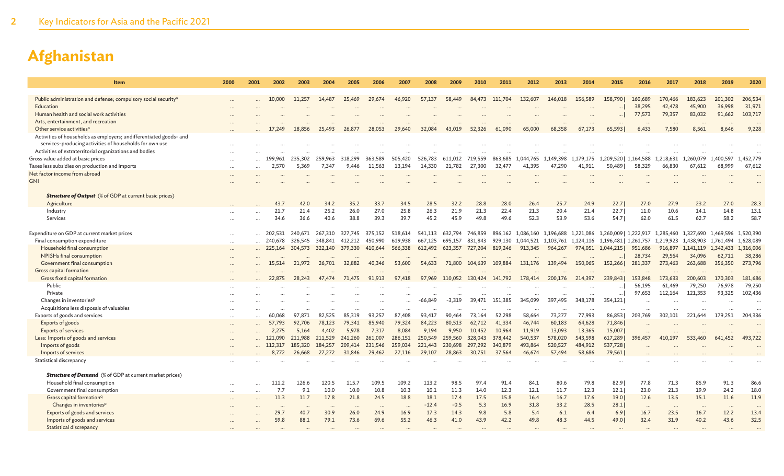| Item                                                                                    | 2000                     | 2001     | 2002      | 2003     | 2004    | 2005     | 2006     | 2007     | 2008      | 2009    | 2010     | 2011    | 2012              | 2013                | 2014      | 2015                  | 2016              | 2017                          | 2018                | 2019              | 2020               |
|-----------------------------------------------------------------------------------------|--------------------------|----------|-----------|----------|---------|----------|----------|----------|-----------|---------|----------|---------|-------------------|---------------------|-----------|-----------------------|-------------------|-------------------------------|---------------------|-------------------|--------------------|
|                                                                                         |                          |          |           |          |         |          |          |          |           |         |          |         |                   |                     |           |                       |                   |                               |                     |                   |                    |
| Public administration and defense; compulsory social security <sup>n</sup><br>Education |                          |          | 10,000    | 11,257   | 14,487  | 25,469   | 29.674   | 46,920   | 57,137    | 58.449  | 84,473   | 111,704 | 132,607           | 146,018             | 156,589   | 158.790               | 160,689<br>38,295 | 170,466<br>42,478             | 183,623<br>45,900   | 201,302<br>36,998 | 206,534<br>31,971  |
| Human health and social work activities                                                 |                          |          |           |          |         |          |          |          |           |         |          |         |                   |                     |           |                       | 77,573            | 79,357                        | 83,032              | 91,662            | 103,717            |
| Arts, entertainment, and recreation                                                     |                          |          |           |          |         |          |          |          |           |         |          |         |                   |                     |           |                       |                   |                               |                     |                   |                    |
| Other service activities <sup>o</sup>                                                   |                          |          |           | 18,856   | 25,493  | 26,877   | 28,053   | 29,640   | 32,084    | 43,019  | 52,326   | 61,090  | 65,000            | <br>68,358          | 67,173    | <br>65.5931           | <br>6,433         | 7,580                         | $\cdots$<br>8,561   | $\cdots$<br>8,646 | $\ddotsc$<br>9,228 |
| Activities of households as employers; undifferentiated goods- and                      |                          |          |           |          |         |          |          |          |           |         |          |         |                   |                     |           |                       |                   |                               |                     |                   |                    |
| services-producing activities of households for own use                                 |                          |          |           |          |         |          |          |          |           |         |          |         |                   |                     |           |                       |                   |                               |                     |                   |                    |
| Activities of extraterritorial organizations and bodies                                 |                          |          |           |          |         |          |          |          |           |         |          |         |                   |                     |           |                       |                   |                               |                     |                   |                    |
| Gross value added at basic prices                                                       |                          |          | 199.961   | 235,302  | 259.963 | 318,299  | 363,589  | 505,420  | 526,783   | 611,012 | 719,559  | 863,685 | 1,044,765         | 1,149,398           | 1,179,175 | 1,209,520   1,164,588 |                   | 1,218,631                     | 1,260,079           | 1,400,597         | 1,452,779          |
| Taxes less subsidies on production and imports                                          |                          | $\cdots$ | 2,570     | 5,369    | 7,347   | 9,446    | 11,563   | 13,194   | 14,330    | 21,782  | 27,300   | 32,477  | 41,395            | 47,290              | 41,911    | 50,489                | 58,329            | 66,830                        | 67,612              | 68,999            | 67,612             |
| Net factor income from abroad                                                           | $\overline{\phantom{a}}$ |          |           |          |         |          |          |          |           |         |          |         |                   |                     |           |                       |                   |                               |                     |                   |                    |
| <b>GNI</b>                                                                              |                          |          |           |          |         |          |          |          |           |         |          |         |                   |                     |           |                       |                   |                               |                     |                   |                    |
|                                                                                         |                          |          |           |          |         |          |          |          |           |         |          |         |                   |                     |           |                       |                   |                               |                     |                   |                    |
| <b>Structure of Output</b> (% of GDP at current basic prices)                           |                          |          |           |          |         |          |          |          |           |         |          |         |                   |                     |           |                       |                   |                               |                     |                   |                    |
| Agriculture                                                                             |                          |          | 43.7      | 42.0     | 34.2    | 35.2     | 33.7     | 34.5     | 28.5      | 32.2    | 28.8     | 28.0    | 26.4              | 25.7                | 24.9      | 22.7                  | 27.0              | 27.9                          | 23.2                | 27.0              | 28.3               |
| Industry                                                                                |                          |          | 21.7      | 21.4     | 25.2    | 26.0     | 27.0     | 25.8     | 26.3      | 21.9    | 21.3     | 22.4    | 21.3              | 20.4                | 21.4      | 22.7                  | 11.0              | 10.6                          | 14.1                | 14.8              | 13.1               |
| <b>Services</b>                                                                         |                          |          | 34.6      | 36.6     | 40.6    | 38.8     | 39.3     | 39.7     | 45.2      | 45.9    | 49.8     | 49.6    | 52.3              | 53.9                | 53.6      | 54.71                 | 62.0              | 61.5                          | 62.7                | 58.2              | 58.7               |
| Expenditure on GDP at current market prices                                             |                          |          | 202,531   | 240,671  | 267,310 | 327,745  | 375,152  | 518,614  | 541,113   | 632,794 | 746,859  |         | 896,162 1,086,160 | 1,196,688           | 1,221,086 | 1,260,009   1,222,917 |                   | 1,285,460                     | 1,327,690           | 1,469,596         | 1,520,390          |
| Final consumption expenditure                                                           | $\cdots$<br>$\ddots$     |          | 240,678   | 326,545  | 348,841 | 412,212  | 450.990  | 619,938  | 667,125   | 695,157 | 831,843  |         | 929,130 1,044,521 | 1,103,761 1,124,116 |           | 1,196,481   1,261,757 |                   | 1,219,923 1,438,903 1,761,494 |                     |                   | 1,628,089          |
| Household final consumption                                                             | $\ddotsc$                |          | 225,164   | 304,573  | 322,140 | 379,330  | 410,644  | 566,338  | 612,492   | 623,357 | 727,204  | 819,246 | 913,345           | 964,267             | 974,051   | 1,044,215             | 951,686           | 916,897                       | 1,141,119 1,342,433 |                   | 1,316,006          |
| NPISHs final consumption                                                                | $\ddotsc$                |          |           |          |         |          |          |          |           |         |          |         |                   |                     |           |                       | 28,734            | 29,564                        | 34,096              | 62,711            | 38,286             |
| Government final consumption                                                            |                          |          |           | 21,972   | 26,701  | 32,882   | 40,346   | 53,600   | 54,633    | 71,800  | 104,639  | 109,884 | 131,176           | 139,494             | 150,065   | 152,266               | 281,337           | 273,463                       | 263,688             | 356,350           | 273,796            |
| Gross capital formation                                                                 |                          |          |           |          |         |          |          |          |           |         |          |         |                   |                     |           |                       |                   |                               |                     |                   |                    |
| Gross fixed capital formation                                                           |                          |          | 22,875    | 28,243   | 47,474  | 71,475   | 91,913   | 97,418   | 97,969    | 110,052 | 130,424  | 141,792 | 178,414           | 200,176             | 214,397   | 239,8431              | 153,848           | 173,633                       | 200,603             | 170,303           | 181,686            |
| Public                                                                                  |                          |          |           |          |         |          |          |          |           |         |          |         |                   |                     |           |                       | 56,195            | 61,469                        | 79,250              | 76,978            | 79,250             |
| Private                                                                                 |                          |          |           |          |         |          |          |          |           |         | $\cdots$ |         | $\cdots$          | $\cdots$            | $\cdots$  | .                     | 97,653            | 112,164                       | 121,353             | 93,325            | 102,436            |
| Changes in inventories <sup>p</sup>                                                     |                          |          |           |          |         |          |          |          | $-66,849$ | -3,319  | 39,471   | 151,385 | 345,099           | 397,495             | 348,178   | 354,121               |                   |                               |                     |                   |                    |
| Acquisitions less disposals of valuables                                                |                          |          |           |          |         |          |          |          |           |         |          |         |                   |                     |           |                       |                   |                               |                     |                   |                    |
| Exports of goods and services                                                           | $\cdots$                 |          | 60,068    | 97.871   | 82,525  | 85,319   | 93.257   | 87,408   | 93,417    | 90.464  | 73,164   | 52,298  | 58,664            | 73,277              | 77,993    | 86,853                | 203,769           | 302,101                       | 221,644             | 179,251           | 204,336            |
| Exports of goods                                                                        | $\overline{\phantom{a}}$ |          | 57,793    | 92,706   | 78,123  | 79,341   | 85,940   | 79,324   | 84,223    | 80.513  | 62,712   | 41,334  | 46,744            | 60,183              | 64,628    | 71,846                |                   |                               |                     |                   |                    |
| <b>Exports of services</b>                                                              |                          |          | 2,275     | 5,164    | 4,402   | 5,978    | 7,317    | 8,084    | 9,194     | 9,950   | 10,452   | 10,964  | 11,919            | 13,093              | 13,365    | 15,007                |                   |                               |                     |                   |                    |
| Less: Imports of goods and services                                                     |                          |          | 121,090   | 211,988  | 211,529 | 241,260  | 261,007  | 286,151  | 250,549   | 259,560 | 328,043  | 378,442 | 540,537           | 578,020             | 543,598   | 617,289               | 396,457           | 410.197                       | 533,460             | 641,452           | 493,722            |
| Imports of goods                                                                        |                          |          |           | 185,320  | 184,257 | 209,414  | 231,546  | 259,034  | 221,443   | 230,698 | 297,292  | 340,879 | 493,864           | 520,527             | 484,912   | 537,728               |                   |                               |                     |                   |                    |
| Imports of services                                                                     |                          |          | 8,772     | 26,668   | 27,272  | 31,846   | 29,462   | 27,116   | 29,107    | 28,863  | 30,751   | 37,564  | 46,674            | 57,494              | 58,686    | 79,561                |                   |                               |                     |                   |                    |
| Statistical discrepancy                                                                 |                          |          |           |          |         |          |          |          |           |         |          |         |                   |                     |           |                       |                   |                               |                     |                   |                    |
| <b>Structure of Demand</b> (% of GDP at current market prices)                          |                          |          |           |          |         |          |          |          |           |         |          |         |                   |                     |           |                       |                   |                               |                     |                   |                    |
| Household final consumption                                                             |                          |          | 111.2     | 126.6    | 120.5   | 115.7    | 109.5    | 109.2    | 113.2     | 98.5    | 97.4     | 91.4    | 84.1              | 80.6                | 79.8      | 82.9                  | 77.8              | 71.3                          | 85.9                | 91.3              | 86.6               |
| Government final consumption                                                            | $\ddotsc$                |          | 7.7       | 9.1      | 10.0    | 10.0     | 10.8     | 10.3     | 10.1      | 11.3    | 14.0     | 12.3    | 12.1              | 11.7                | 12.3      | 12.1                  | 23.0              | 21.3                          | 19.9                | 24.2              | 18.0               |
| Gross capital formation <sup>q</sup>                                                    |                          |          | 11.3      | 11.7     | 17.8    | 21.8     | 24.5     | 18.8     | 18.1      | 17.4    | 17.5     | 15.8    | 16.4              | 16.7                | 17.6      | 19.0                  | 12.6              | 13.5                          | 15.1                | 11.6              | 11.9               |
| Changes in inventories <sup>p</sup>                                                     |                          |          | $\ddotsc$ | $\cdots$ |         | $\cdots$ | $\cdots$ | $\cdots$ | $-12.4$   | $-0.5$  | 5.3      | 16.9    | 31.8              | 33.2                | 28.5      | 28.1                  | $\cdots$          | $\cdots$                      | $\cdots$            | $\cdots$          | $\ddotsc$          |
| Exports of goods and services                                                           |                          |          | 29.7      | 40.7     | 30.9    | 26.0     | 24.9     | 16.9     | 17.3      | 14.3    | 9.8      | 5.8     | 5.4               | 6.1                 | 6.4       | 6.9                   | 16.7              | 23.5                          | 16.7                | 12.2              | 13.4               |
| Imports of goods and services                                                           |                          |          | 59.8      | 88.1     | 79.1    | 73.6     | 69.6     | 55.2     | 46.3      | 41.0    | 43.9     | 42.2    | 49.8              | 48.3                | 44.5      | 49.0                  | 32.4              | 31.9                          | 40.2                | 43.6              | 32.5               |
| <b>Statistical discrepancy</b>                                                          |                          |          |           |          |         |          |          |          |           |         |          |         |                   |                     |           |                       |                   |                               |                     |                   |                    |
|                                                                                         |                          |          |           |          |         |          |          |          |           |         |          |         |                   |                     |           |                       |                   |                               |                     |                   |                    |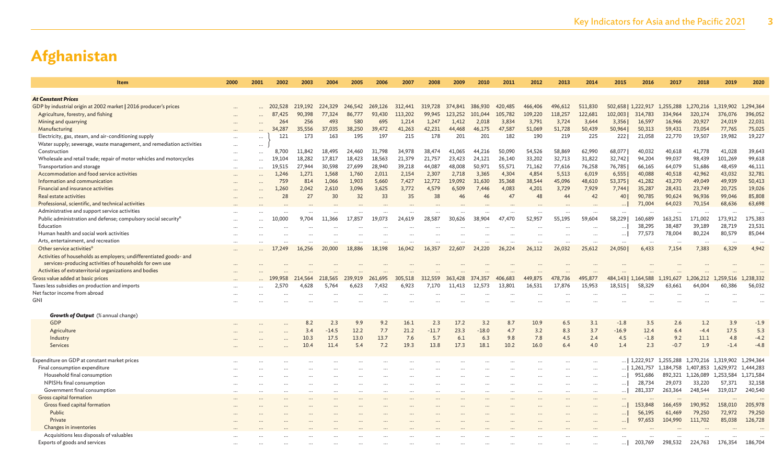| Item                                                                            | 2000      | 2001     | 2002      | 2003         | 2004     | 2005    | 2006     | 2007     | 2008     | 2009     | 2010     | 2011    | 2012      | 2013      | 2014     | 2015     | 2016                 | 2017      | 2018                | 2019      | 2020      |
|---------------------------------------------------------------------------------|-----------|----------|-----------|--------------|----------|---------|----------|----------|----------|----------|----------|---------|-----------|-----------|----------|----------|----------------------|-----------|---------------------|-----------|-----------|
|                                                                                 |           |          |           |              |          |         |          |          |          |          |          |         |           |           |          |          |                      |           |                     |           |           |
| <b>At Constant Prices</b>                                                       |           |          |           |              |          |         |          |          |          |          |          |         |           |           |          |          |                      |           |                     |           |           |
| GDP by industrial origin at 2002 market   2016 producer's prices                |           |          | 202,528   | 219,192      | 224,329  | 246,542 | 269,126  | 312,441  | 319,728  | 374,841  | 386,930  | 420,485 | 466,406   | 496,612   | 511,830  |          | 502,658   1,222,917  | 1,255,288 | 1,270,216 1,319,902 |           | 1,294,364 |
| Agriculture, forestry, and fishing                                              |           |          | 87<br>425 | 90.398       | 77,324   | 86.777  | 93,430   | 113,202  | 99,945   | 123.252  | 101,044  | 105,782 | 109,220   | 118,257   | 122,681  | 102,003  | 314,783              | 334,964   | 320,174             | 376,076   | 396,052   |
| Mining and quarrying                                                            |           |          | 264       | 256          | 493      | 580     | 695      | 1,214    | 1,247    | 1,412    | 2,018    | 3,834   | 3,791     | 3,724     | 3,644    | 3,356    | 16,597               | 16,966    | 20,927              | 24,019    | 22,031    |
| Manufacturing                                                                   |           |          | 34,287    | 35.556       | 37.035   | 38,250  | 39,472   | 41.263   | 42,231   | 44,468   | 46.175   | 47,587  | 51,069    | 51,728    | 50,439   | 50,964   | 50,313               | 59,431    | 73,054              | 77,765    | 75,025    |
| Electricity, gas, steam, and air-conditioning supply                            | $\cdots$  | $\cdots$ | 121       | 173          | 163      | 195     | 197      | 215      | 178      | 201      | 201      | 182     | 190       | 219       | 225      | 2221     | 21,058               | 22,770    | 19,507              | 19,982    | 19,227    |
| Water supply; sewerage, waste management, and remediation activities            | $\cdots$  | $\cdots$ |           |              |          |         |          |          |          |          |          |         |           |           |          |          |                      |           |                     |           |           |
| Construction                                                                    |           |          | 8,700     | 11,842       | 18,495   | 24,460  | 31,798   | 34,978   | 38,474   | 41,065   | 44,216   | 50,090  | 54,526    | 58,869    | 62,990   | 68,077   | 40,032               | 40,618    | 41,778              | 41,028    | 39,643    |
| Wholesale and retail trade; repair of motor vehicles and motorcycles            |           |          | 19,104    | 18,282       | 17,817   | 18,423  | 18,563   | 21,379   | 21,757   | 23,423   | 24,121   | 26,140  | 33,202    | 32,713    | 31,822   | 32,742   | 94,204               | 99,037    | 98,439              | 101,269   | 99,618    |
| Transportation and storage                                                      |           |          | 19,515    | 27,944       | 30,598   | 27,699  | 28,940   | 39,218   | 44,087   | 48,008   | 50,971   | 55,571  | 71,162    | 77,616    | 76,258   | 76,785   | 66,165               | 64,079    | 51,686              | 48,459    | 46,111    |
| Accommodation and food service activities                                       | $\cdots$  |          | 1,246     | 1,271        | 1,568    | 1,760   | 2,011    | 2,154    | 2,307    | 2,718    | 3,365    | 4,304   | 4,854     | 5,513     | 6,019    | 6,555    | 40,088               | 40,518    | 42,962              | 43,032    | 32,781    |
| Information and communication                                                   | $\ddotsc$ |          | 759       | 814          | 1,066    | 1,903   | 5,660    | 7,427    | 12,772   | 19,092   | 31,630   | 35,368  | 38,544    | 45,096    | 48,610   | 53,375   | 41,282               | 43,270    | 49,049              | 49,939    | 50,413    |
| Financial and insurance activities                                              | $\ddotsc$ |          | 1,260     | 2,042        | 2,610    | 3,096   | 3,625    | 3,772    | 4.579    | 6,509    | 7.446    | 4,083   | 4,201     | 3,729     | 7,929    | 7,744    | 35,287               | 28,431    | 23,749              | 20,725    | 19,026    |
| Real estate activities                                                          | $\ddotsc$ |          | 28        | 27           | 30       | 32      | 33       | 35       | 38       | 46       | 46       | 47      | 48        | 44        | 42       | 40       | 90,785               | 90,624    | 96,936              | 99,046    | 85,808    |
| Professional, scientific, and technical activities                              |           |          |           |              |          |         |          |          |          |          |          |         |           |           |          |          | 71,004               | 64,023    | 70,154              | 68,636    | 63,698    |
| Administrative and support service activities                                   |           |          |           |              |          |         |          |          |          |          |          |         | $\ddotsc$ |           |          | $\cdots$ |                      | $\cdots$  | $\cdots$            | $\cdots$  |           |
| Public administration and defense; compulsory social security <sup>n</sup>      |           |          | 10,000    | 9.704        | 11,366   | 17,857  | 19.073   | 24,619   | 28,587   | 30,626   | 38,904   | 47,470  | 52,957    | 55,195    | 59,604   | 58,229   | 160,689              | 163,251   | 171,002             | 173,912   | 175,383   |
| Education                                                                       | $\cdots$  |          |           |              |          |         |          |          |          |          |          |         |           |           |          | $\cdots$ | 38,295               | 38,487    | 39,189              | 28,719    | 23,531    |
| Human health and social work activities                                         | $\cdots$  |          |           |              | $\cdots$ |         |          |          |          |          |          |         | $\ddotsc$ |           | $\cdots$ | $\cdots$ | 77,573               | 78,004    | 80,224              | 80,579    | 85,044    |
| Arts, entertainment, and recreation                                             | $\cdots$  |          |           |              |          |         | $\cdots$ |          |          |          |          |         |           | $\cdots$  | $\cdots$ | $\cdots$ |                      |           | $\cdots$            |           | $\ddotsc$ |
| Other service activities <sup>o</sup>                                           |           |          | 17.249    | 16,256       | 20,000   | 18,886  | 18,198   | 16,042   | 16,357   | 22,607   | 24,220   | 26,224  | 26,112    | 26,032    | 25,612   | 24,050   | 6,433                | 7,154     | 7,383               | 6,329     | 4,942     |
| Activities of households as employers; undifferentiated goods- and              |           |          |           |              |          |         |          |          |          |          |          |         |           |           |          |          |                      |           |                     |           |           |
| services-producing activities of households for own use                         |           |          |           |              |          |         |          |          |          |          |          |         |           |           |          |          |                      |           |                     |           |           |
| Activities of extraterritorial organizations and bodies                         |           |          |           |              |          |         |          |          |          |          |          |         |           |           |          |          |                      |           |                     |           |           |
| Gross value added at basic prices                                               |           |          | 199,958   | 4,564<br>-21 | 218,565  | 239,919 | 261,695  | 305,518  | 312,559  | 363,428  | 374,357  | 406,683 | 449,875   | 478,736   | 495,877  |          | 484,143   1,164,588  | 1,191,627 | 1,206,212           | 1,259,516 | 1,238,332 |
| Taxes less subsidies on production and imports<br>Net factor income from abroad |           |          | 2,570     | 4,628        | 5,764    | 6,623   | 7,432    | 6,923    | 7,170    | 11,413   | 12.573   | 13,801  | 16,531    | 17,876    | 15,953   | 18,515   | 58,329               | 63,661    | 64,004              | 60,386    | 56,032    |
| GNI                                                                             |           |          |           |              |          |         |          |          |          |          |          |         |           |           |          |          |                      |           |                     |           |           |
|                                                                                 |           |          |           |              |          |         |          |          |          |          |          |         |           |           |          |          |                      |           |                     |           |           |
| <b>Growth of Output</b> (% annual change)                                       |           |          |           |              |          |         |          |          |          |          |          |         |           |           |          |          |                      |           |                     |           |           |
| <b>GDP</b>                                                                      |           |          |           | 8.2          | 2.3      | 9.9     | 9.2      | 16.1     | 2.3      | 17.2     | 3.2      | 8.7     | 10.9      | 6.5       | 3.1      | $-1.8$   | 3.5                  | 2.6       | 1.2                 | 3.9       | $-1.9$    |
| Agriculture                                                                     |           |          |           | 3.4          | $-14.5$  | 12.2    | 7.7      | 21.2     | $-11.7$  | 23.3     | $-18.0$  | 4.7     | 3.2       | 8.3       | 3.7      | $-16.9$  | 12.4                 | 6.4       | $-4.4$              | 17.5      | 5.3       |
| Industry                                                                        |           |          |           | 10.3         | 17.5     | 13.0    | 13.7     | 7.6      | 5.7      | 6.1      | 6.3      | 9.8     | 7.8       | 4.5       | 2.4      | 4.5      | $-1.8$               | 9.2       | 11.1                | 4.8       | $-4.2$    |
| Services                                                                        |           |          |           | 10.4         | 11.4     | 5.4     | 7.2      | 19.3     | 13.8     | 17.3     | 18.1     | 10.2    | 16.0      | 6.4       | 4.0      | 1.4      | 2.3                  | $-0.7$    | 1.9                 | $-1.4$    | $-4.8$    |
|                                                                                 |           |          |           |              |          |         |          |          |          |          |          |         |           |           |          |          |                      |           |                     |           |           |
| Expenditure on GDP at constant market prices                                    |           |          |           |              |          |         |          |          |          |          |          |         |           | $\cdots$  | $\cdots$ |          | $\ldots$   1,222,917 | 1,255,288 | 1,270,216 1,319,902 |           | 1,294,364 |
| Final consumption expenditure                                                   |           |          |           |              |          |         |          |          |          |          |          |         |           | $\ddotsc$ |          |          | $\ldots$   1,261,757 | 1,184,758 | 1,407,853           | 1,629,972 | 1,444,283 |
| Household final consumption                                                     |           |          |           |              |          |         |          |          |          |          |          |         |           |           |          | $\ldots$ | 951,686              | 892,321   | 1,126,089           | 1,253,584 | 1,171,584 |
| NPISHs final consumption                                                        |           |          |           |              |          |         |          |          |          |          |          |         |           |           |          | $\cdots$ | 28,734               | 29,073    | 33,220              | 57,371    | 32,158    |
| Government final consumption                                                    | $\cdots$  |          | $\cdots$  |              | $\cdots$ |         | $\cdots$ | $\cdots$ | $\cdots$ | $\cdots$ | $\cdots$ |         | $\ddots$  | $\ldots$  | $\cdots$ | $\cdots$ | 281,337              | 263,364   | 248,544             | 319,017   | 240,540   |
| Gross capital formation                                                         |           |          |           |              |          |         |          |          |          |          |          |         |           |           |          |          |                      |           | $\cdots$            |           |           |
| Gross fixed capital formation                                                   |           |          |           |              | $\cdots$ |         |          |          |          |          |          |         |           |           |          | $\ldots$ | 153,848              | 166,459   | 190,952             | 158,010   | 205,978   |
| Public                                                                          |           |          |           |              |          |         |          |          |          |          |          |         |           |           |          | $\cdots$ | 56,195               | 61,469    | 79,250              | 72,972    | 79,250    |
| Private                                                                         |           |          |           |              |          |         |          |          |          |          |          |         |           |           |          | $\ldots$ | 97,653               | 104,990   | 111,702             | 85,038    | 126,728   |
| Changes in inventories                                                          |           |          |           |              |          |         |          |          |          |          |          |         |           |           |          |          |                      |           |                     |           |           |
| Acquisitions less disposals of valuables                                        |           |          |           |              |          |         |          |          |          |          |          |         |           |           |          |          |                      |           |                     |           |           |
| Exports of goods and services                                                   |           |          |           |              |          |         |          |          |          |          |          |         |           |           |          | $\ldots$ | 203,769              | 298,532   | 224,763             | 176,354   | 186,704   |
|                                                                                 |           |          |           |              |          |         |          |          |          |          |          |         |           |           |          |          |                      |           |                     |           |           |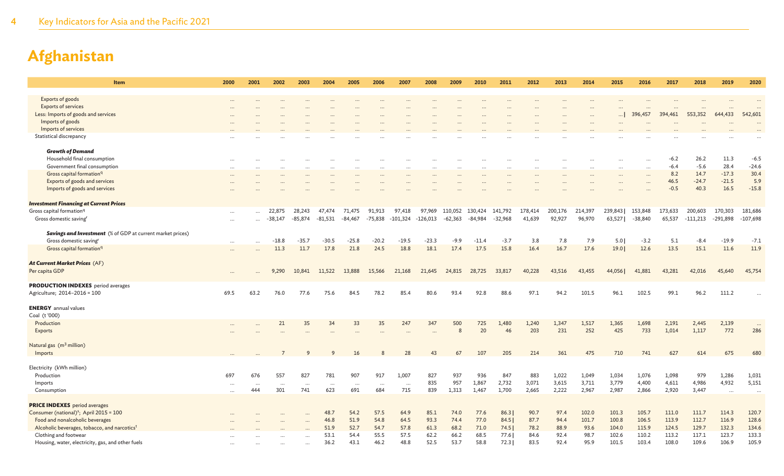| Exports of goods<br><b>Exports of services</b><br>Less: Imports of goods and services<br>Imports of goods |          |                 |                     |                     |                     |                     |                     |                      |                      |                      |                      |                      |                   |                   |                   |                   |                      |                   |                       |                     |                       |
|-----------------------------------------------------------------------------------------------------------|----------|-----------------|---------------------|---------------------|---------------------|---------------------|---------------------|----------------------|----------------------|----------------------|----------------------|----------------------|-------------------|-------------------|-------------------|-------------------|----------------------|-------------------|-----------------------|---------------------|-----------------------|
|                                                                                                           |          |                 |                     |                     |                     |                     |                     |                      |                      |                      |                      |                      |                   |                   |                   |                   |                      |                   |                       |                     |                       |
|                                                                                                           |          |                 |                     |                     |                     |                     |                     |                      |                      |                      |                      |                      |                   |                   |                   |                   |                      |                   |                       |                     |                       |
|                                                                                                           |          |                 |                     |                     |                     |                     |                     |                      |                      |                      |                      |                      |                   |                   |                   |                   | 396,457              | 394,461           | 553,352               | 644,433             | $\ddotsc$<br>542,601  |
|                                                                                                           |          |                 |                     |                     |                     |                     |                     |                      |                      |                      |                      |                      |                   |                   |                   |                   |                      |                   |                       |                     |                       |
| Imports of services                                                                                       |          |                 |                     |                     |                     |                     |                     |                      |                      |                      |                      |                      |                   |                   |                   |                   | $\ddotsc$            |                   |                       |                     |                       |
| Statistical discrepancy                                                                                   |          |                 |                     |                     |                     |                     |                     |                      |                      |                      |                      |                      |                   |                   |                   |                   |                      |                   |                       |                     |                       |
|                                                                                                           |          |                 |                     |                     |                     |                     |                     |                      |                      |                      |                      |                      |                   |                   |                   |                   |                      |                   |                       |                     |                       |
| <b>Growth of Demand</b>                                                                                   |          |                 |                     |                     |                     |                     |                     |                      |                      |                      |                      |                      |                   |                   |                   |                   |                      |                   |                       |                     |                       |
| Household final consumption                                                                               |          |                 |                     |                     |                     |                     |                     |                      |                      |                      |                      |                      |                   |                   |                   |                   | $\sim$               | $-6.2$            | 26.2                  | 11.3                | $-6.5$                |
| Government final consumption                                                                              |          |                 | .                   |                     |                     |                     |                     | $\ddot{\phantom{a}}$ |                      |                      |                      |                      |                   | $\cdots$          |                   | $\ddotsc$         | $\cdots$             | $-6.4$            | $-5.6$                | 28.4                | $-24.6$               |
| Gross capital formation <sup>q</sup>                                                                      |          |                 |                     |                     |                     |                     |                     |                      |                      |                      |                      |                      |                   |                   |                   |                   | $\cdots$             | 8.2               | 14.7                  | $-17.3$             | 30.4                  |
| Exports of goods and services                                                                             |          |                 |                     |                     |                     |                     |                     |                      |                      |                      |                      |                      |                   |                   |                   |                   | $\cdots$             | 46.5              | $-24.7$               | $-21.5$             | 5.9                   |
| Imports of goods and services                                                                             |          |                 |                     |                     |                     |                     |                     |                      |                      |                      |                      |                      |                   |                   |                   |                   |                      | $-0.5$            | 40.3                  | 16.5                | $-15.8$               |
|                                                                                                           |          |                 |                     |                     |                     |                     |                     |                      |                      |                      |                      |                      |                   |                   |                   |                   |                      |                   |                       |                     |                       |
| <b>Investment Financing at Current Prices</b>                                                             |          |                 |                     |                     |                     |                     |                     |                      |                      |                      |                      |                      |                   |                   |                   |                   |                      |                   |                       |                     |                       |
| Gross capital formation <sup>q</sup><br>Gross domestic saving                                             |          |                 | 22,875<br>$-38,147$ | 28,243<br>$-85,874$ | 47.474<br>$-81,531$ | 71,475<br>$-84,467$ | 91,913<br>$-75,838$ | 97,418<br>$-101,324$ | 97,969<br>$-126,013$ | 110,052<br>$-62,363$ | 130,424<br>$-84,984$ | 141,792<br>$-32,968$ | 178,414<br>41,639 | 200,176<br>92,927 | 214,397<br>96,970 | 239,843<br>63,527 | 153,848<br>$-38,840$ | 173,633<br>65,537 | 200,603<br>$-111,213$ | 170,303<br>-291,898 | 181,686<br>$-107,698$ |
|                                                                                                           |          |                 |                     |                     |                     |                     |                     |                      |                      |                      |                      |                      |                   |                   |                   |                   |                      |                   |                       |                     |                       |
| <b>Savings and Investment</b> (% of GDP at current market prices)                                         |          |                 |                     |                     |                     |                     |                     |                      |                      |                      |                      |                      |                   |                   |                   |                   |                      |                   |                       |                     |                       |
| Gross domestic saving <sup>r</sup>                                                                        | $\cdots$ |                 | $-18.8$             | $-35.7$             | $-30.5$             | $-25.8$             | $-20.2$             | $-19.5$              | $-23.3$              | $-9.9$               | $-11.4$              | $-3.7$               | 3.8               | 7.8               | 7.9               | 5.0               | $-3.2$               | 5.1               | $-8.4$                | $-19.9$             | $-7.1$                |
| Gross capital formation <sup>q</sup>                                                                      |          |                 | 11.3                | 11.7                | 17.8                | 21.8                | 24.5                | 18.8                 | 18.1                 | 17.4                 | 17.5                 | 15.8                 | 16.4              | 16.7              | 17.6              | 19.0              | 12.6                 | 13.5              | 15.1                  | 11.6                | 11.9                  |
|                                                                                                           |          |                 |                     |                     |                     |                     |                     |                      |                      |                      |                      |                      |                   |                   |                   |                   |                      |                   |                       |                     |                       |
| At Current Market Prices (AF)                                                                             |          |                 |                     |                     |                     |                     |                     |                      |                      |                      |                      |                      |                   |                   |                   |                   |                      |                   |                       |                     |                       |
| Per capita GDP                                                                                            |          |                 | 9,290               | 10,841              | 11,522              | 13,888              | 15,566              | 21,168               | 21,645               | 24,815               | 28,725               | 33,817               | 40,228            | 43,516            | 43,455            | 44,056            | 41,881               | 43,281            | 42,016                | 45,640              | 45,754                |
|                                                                                                           |          |                 |                     |                     |                     |                     |                     |                      |                      |                      |                      |                      |                   |                   |                   |                   |                      |                   |                       |                     |                       |
| <b>PRODUCTION INDEXES</b> period averages                                                                 |          | 63.2            |                     |                     |                     | 84.5                |                     | 85.4                 | 80.6                 | 93.4                 | 92.8                 |                      | 97.1              | 94.2              | 101.5             |                   | 102.5                | 99.1              | 96.2                  | 111.2               |                       |
| Agriculture; 2014-2016 = 100                                                                              | 69.5     |                 | 76.0                | 77.6                | 75.6                |                     | 78.2                |                      |                      |                      |                      | 88.6                 |                   |                   |                   | 96.1              |                      |                   |                       |                     |                       |
| <b>ENERGY</b> annual values                                                                               |          |                 |                     |                     |                     |                     |                     |                      |                      |                      |                      |                      |                   |                   |                   |                   |                      |                   |                       |                     |                       |
| Coal (t'000)                                                                                              |          |                 |                     |                     |                     |                     |                     |                      |                      |                      |                      |                      |                   |                   |                   |                   |                      |                   |                       |                     |                       |
| Production                                                                                                |          |                 | 21                  | 35                  | 34                  | 33                  | 35                  | 247                  | 347                  | 500                  | 725                  | 1,480                | 1,240             | 1,347             | 1,517             | 1,365             | 1,698                | 2,191             | 2,445                 | 2,139               | $\dots$               |
| Exports                                                                                                   |          |                 |                     |                     |                     |                     |                     |                      |                      | 8                    | 20                   | 46                   | 203               | 231               | 252               | 425               | 733                  | 1,014             | 1,117                 | 772                 | 286                   |
|                                                                                                           |          |                 |                     |                     |                     |                     |                     |                      |                      |                      |                      |                      |                   |                   |                   |                   |                      |                   |                       |                     |                       |
| Natural gas (m <sup>3</sup> million)                                                                      |          |                 |                     |                     |                     |                     |                     |                      |                      |                      |                      |                      |                   |                   |                   |                   |                      |                   |                       |                     |                       |
| Imports                                                                                                   |          |                 |                     | $\mathsf{Q}$        | 9                   | 16                  |                     | 28                   | 43                   | 67                   | 107                  | 205                  | 214               | 361               | 475               | 710               | 741                  | 627               | 614                   | 675                 | 680                   |
|                                                                                                           |          |                 |                     |                     |                     |                     |                     |                      |                      |                      |                      |                      |                   |                   |                   |                   |                      |                   |                       |                     |                       |
| Electricity (kWh million)                                                                                 |          |                 |                     |                     |                     |                     |                     |                      |                      |                      |                      |                      |                   |                   |                   |                   |                      |                   |                       |                     |                       |
| Production                                                                                                | 697      | 676             | 557                 | 827                 | 781                 | 907                 | 917                 | 1,007                | 827<br>835           | 937<br>957           | 936<br>1,867         | 847<br>2,732         | 883<br>3,071      | 1,022             | 1,049             | 1,034<br>3,779    | 1,076                | 1,098<br>4,611    | 979<br>4,986          | 1,286<br>4,932      | 1,031<br>5,151        |
| Imports<br>Consumption                                                                                    |          | $\cdots$<br>444 | $\cdots$<br>301     | .<br>741            | $\cdots$<br>623     | $\cdots$<br>691     | $\cdots$<br>684     | $\cdots$<br>715      | 839                  | 1,313                | 1,467                | 1,700                | 2,665             | 3,615<br>2,222    | 3,711<br>2,967    | 2,987             | 4,400<br>2,866       | 2,920             | 3,447                 |                     |                       |
|                                                                                                           |          |                 |                     |                     |                     |                     |                     |                      |                      |                      |                      |                      |                   |                   |                   |                   |                      |                   |                       | $\cdots$            | $\ddot{\phantom{a}}$  |
| <b>PRICE INDEXES</b> period averages                                                                      |          |                 |                     |                     |                     |                     |                     |                      |                      |                      |                      |                      |                   |                   |                   |                   |                      |                   |                       |                     |                       |
| Consumer (national) <sup>s</sup> ; April 2015 = 100                                                       |          |                 |                     |                     | 48.7                | 54.2                | 57.5                | 64.9                 | 85.1                 | 74.0                 | 77.6                 | 86.3                 | 90.7              | 97.4              | 102.0             | 101.3             | 105.7                | 111.0             | 111.7                 | 114.3               | 120.7                 |
| Food and nonalcoholic beverages                                                                           |          |                 |                     |                     | 46.8                | 51.9                | 54.8                | 64.5                 | 93.3                 | 74.4                 | 77.0                 | 84.5                 | 87.7              | 94.4              | 101.7             | 100.8             | 106.5                | 113.9             | 112.7                 | 116.9               | 128.6                 |
| Alcoholic beverages, tobacco, and narcotics <sup>t</sup>                                                  |          |                 |                     |                     | 51.9                | 52.7                | 54.7                | 57.8                 | 61.3                 | 68.2                 | 71.0                 | 74.5                 | 78.2              | 88.9              | 93.6              | 104.0             | 115.9                | 124.5             | 129.7                 | 132.3               | 134.6                 |
| Clothing and footwear                                                                                     |          |                 |                     |                     | 53.1                | 54.4                | 55.5                | 57.5                 | 62.2                 | 66.2                 | 68.5                 | 77.6                 | 84.6              | 92.4              | 98.7              | 102.6             | 110.2                | 113.2             | 117.1                 | 123.7               | 133.3                 |
| Housing, water, electricity, gas, and other fuels                                                         |          |                 |                     | $\cdots$            | 36.2                | 43.1                | 46.2                | 48.8                 | 52.5                 | 53.7                 | 58.8                 | 72.3                 | 83.5              | 92.4              | 95.9              | 101.5             | 103.4                | 108.0             | 109.6                 | 106.9               | 105.9                 |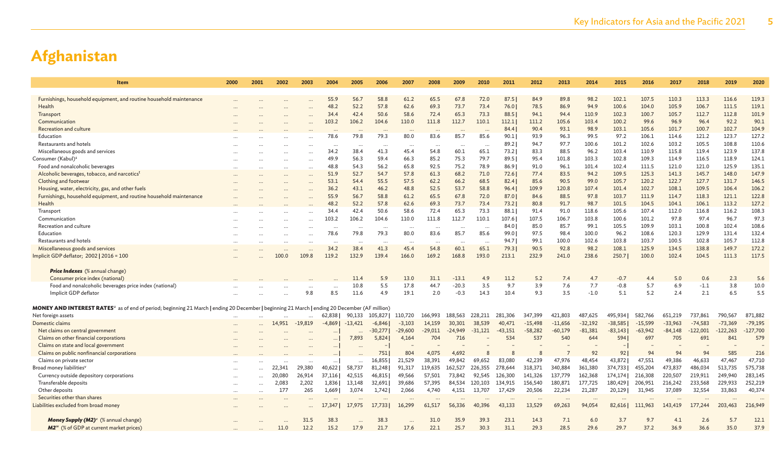| Item                                                                                                                                          | 2000     | 2001     | 2002     | 2003      | 2004     | 2005      | 2006      | 2007      | 2008      | 2009                 | 2010      | 2011      | 2012      | 2013           | 2014      | 2015      | 2016      | 2017      | 2018       | 2019       | 2020       |
|-----------------------------------------------------------------------------------------------------------------------------------------------|----------|----------|----------|-----------|----------|-----------|-----------|-----------|-----------|----------------------|-----------|-----------|-----------|----------------|-----------|-----------|-----------|-----------|------------|------------|------------|
|                                                                                                                                               |          |          |          |           |          |           |           |           |           |                      |           |           |           |                |           |           |           |           |            |            |            |
| Furnishings, household equipment, and routine household maintenance                                                                           |          |          |          |           | 55.9     | 56.7      | 58.8      | 61.2      | 65.5      | 67.8                 | 72.0      | 87.51     | 84.9      | 89.8           | 98.2      | 102.1     | 107.5     | 110.3     | 113.3      | 116.6      | 119.3      |
| Health                                                                                                                                        |          |          |          |           | 48.2     | 52.2      | 57.8      | 62.6      | 69.3      | 73.7                 | 73.4      | 76.0      | 78.5      | 86.9           | 94.9      | 100.6     | 104.0     | 105.9     | 106.7      | 111.5      | 119.1      |
| Transport                                                                                                                                     |          |          |          |           | 34.4     | 42.4      | 50.6      | 58.6      | 72.4      | 65.3                 | 73.3      | 88.5      | 94.1      | 94.4           | 110.9     | 102.3     | 100.7     | 105.7     | 112.7      | 112.8      | 101.9      |
| Communication                                                                                                                                 |          |          |          |           | 103.2    | 106.2     | 104.6     | 110.0     | 111.8     | 112.7                | 110.1     | 112.1     | 111.2     | 105.6          | 103.4     | 100.2     | 99.6      | 96.9      | 96.4       | 92.2       | 90.1       |
| <b>Recreation and culture</b>                                                                                                                 |          |          |          |           |          |           |           | $\ddotsc$ |           |                      |           | 84.4      | 90.4      | 93.1           | 98.9      | 103.1     | 105.6     | 101.7     | 100.7      | 102.7      | 104.9      |
| Education                                                                                                                                     |          |          |          |           | 78.6     | 79.8      | 79.3      | 80.0      | 83.6      | 85.7                 | 85.6      | 90.1      | 93.9      | 96.3           | 99.5      | 97.2      | 106.1     | 114.6     | 121.2      | 123.7      | 127.2      |
| Restaurants and hotels                                                                                                                        |          |          |          |           |          |           |           | $\cdots$  | $\cdots$  | $\ddotsc$            | $\ddotsc$ | 89.2      | 94.7      | 97.7           | 100.6     | 101.2     | 102.6     | 103.2     | 105.5      | 108.8      | 110.6      |
| Miscellaneous goods and services                                                                                                              |          |          |          |           | 34.2     | 38.4      | 41.3      | 45.4      | 54.8      | 60.1                 | 65.1      | 73.2      | 83.3      | 88.5           | 96.2      | 103.4     | 110.9     | 115.8     | 119.4      | 123.9      | 137.8      |
| Consumer (Kabul) <sup>s</sup>                                                                                                                 |          |          |          |           | 49.9     | 56.3      | 59.4      | 66.3      | 85.2      | 75.3                 | 79.7      | 89.5      | 95.4      | 101.8          | 103.3     | 102.8     | 109.3     | 114.9     | 116.5      | 118.9      | 124.1      |
| Food and nonalcoholic beverages                                                                                                               |          |          | $\cdots$ |           | 48.8     | 54.3      | 56.2      | 65.8      | 92.5      | 75.2                 | 78.9      | 86.9      | 91.0      | 96.1           | 101.4     | 102.4     | 111.5     | 121.0     | 121.0      | 125.9      | 135.1      |
| Alcoholic beverages, tobacco, and narcotics <sup>t</sup>                                                                                      |          |          |          |           | 51.9     | 52.7      | 54.7      | 57.8      | 61.3      | 68.2                 | 71.0      | 72.6      | 77.4      | 83.5           | 94.2      | 109.5     | 125.3     | 141.3     | 145.7      | 148.0      | 147.9      |
| Clothing and footwear                                                                                                                         |          |          |          |           | 53.1     | 54.4      | 55.5      | 57.5      | 62.2      | 66.2                 | 68.5      | 82.4      | 85.6      | 90.5           | 99.0      | 105.7     | 120.2     | 122.7     | 127.7      | 131.7      | 146.5      |
| Housing, water, electricity, gas, and other fuels                                                                                             |          |          |          |           | 36.2     | 43.1      | 46.2      | 48.8      | 52.5      | 53.7                 | 58.8      | 96.4      | 109.9     | 120.8          | 107.4     | 101.4     | 102.7     | 108.1     | 109.5      | 106.4      | 106.2      |
| Furnishings, household equipment, and routine household maintenance                                                                           |          |          |          |           | 55.9     | 56.7      | 58.8      | 61.2      | 65.5      | 67.8                 | 72.0      | 87.0      | 84.6      | 88.5           | 97.8      | 103.7     | 111.9     | 114.7     | 118.3      | 121.1      | 122.8      |
| Health                                                                                                                                        |          |          |          |           | 48.2     | 52.2      | 57.8      | 62.6      | 69.3      | 73.7                 | 73.4      | 73.2      | 80.8      | 91.7           | 98.7      | 101.5     | 104.5     | 104.1     | 106.1      | 113.2      | 127.2      |
| Transport                                                                                                                                     |          |          |          |           | 34.4     | 42.4      | 50.6      | 58.6      | 72.4      | 65.3                 | 73.3      | 88.1      | 91.4      | 91.0           | 118.6     | 105.6     | 107.4     | 112.0     | 116.8      | 116.2      | 108.3      |
| Communication                                                                                                                                 |          |          |          |           | 103.2    | 106.2     | 104.6     | 110.0     | 111.8     | 112.7                | 110.1     | 107.6     | 107.5     | 106.7          | 103.8     | 100.6     | 101.2     | 97.8      | 97.4       | 96.7       | 97.3       |
| Recreation and culture                                                                                                                        |          |          |          |           |          |           |           | $\cdots$  |           |                      |           | 84.0      | 85.0      | 85.7           | 99.1      | 105.5     | 109.9     | 103.1     | 100.8      | 102.4      | 108.6      |
| Education                                                                                                                                     |          |          |          |           | 78.6     | 79.8      | 79.3      | 80.0      | 83.6      | 85.7                 | 85.6      | 99.0      | 97.5      | 98.4           | 100.0     | 96.2      | 108.6     | 120.3     | 129.9      | 131.4      | 132.4      |
| Restaurants and hotels                                                                                                                        |          |          |          |           | $\cdots$ |           | $\cdots$  | $\cdots$  |           | $\ddot{\phantom{a}}$ | $\ddotsc$ | 94.7      | 99.1      | 100.0          | 102.6     | 103.8     | 103.7     | 100.5     | 102.8      | 105.7      | 112.8      |
| Miscellaneous goods and services                                                                                                              |          |          |          |           | 34.2     | 38.4      | 41.3      | 45.4      | 54.8      | 60.1                 | 65.1      | 79.3      | 90.5      | 92.8           | 98.2      | 108.1     | 125.9     | 134.5     | 138.8      | 149.7      | 172.2      |
| Implicit GDP deflator; 2002   2016 = 100                                                                                                      |          |          | 100.0    | 109.8     | 119.2    | 132.9     | 139.4     | 166.0     | 169.2     | 168.8                | 193.0     | 213.1     | 232.9     | 241.0          | 238.6     | 250.7     | 100.0     | 102.4     | 104.5      | 111.3      | 117.5      |
|                                                                                                                                               |          |          |          |           |          |           |           |           |           |                      |           |           |           |                |           |           |           |           |            |            |            |
| <b>Price Indexes</b> (% annual change)                                                                                                        |          |          |          |           |          |           |           |           |           |                      |           |           |           |                |           |           |           |           |            |            |            |
| Consumer price index (national)                                                                                                               |          |          |          |           |          | 11.4      | 5.9       | 13.0      | 31.1      | $-13.1$              | 4.9       | 11.2      | 5.2       | 7.4            | 4.7       | $-0.7$    | 4.4       | 5.0       | 0.6        | 2.3        | 5.6        |
| Food and nonalcoholic beverages price index (national)                                                                                        |          |          |          |           |          | 10.8      | 5.5       | 17.8      | 44.7      | $-20.3$              | 3.5       | 9.7       | 3.9       | 7.6            | 7.7       | $-0.8$    | 5.7       | 6.9       | $-1.1$     | 3.8        | 10.0       |
| Implicit GDP deflator                                                                                                                         |          |          |          | 9.8       | 8.5      | 11.6      | 4.9       | 19.1      | 2.0       | $-0.3$               | 14.3      | 10.4      | 9.3       | 3.5            | $-1.0$    | 5.1       | 5.2       | 2.4       | 2.1        | 6.5        | 5.5        |
|                                                                                                                                               |          |          |          |           |          |           |           |           |           |                      |           |           |           |                |           |           |           |           |            |            |            |
| MONEY AND INTEREST RATES" as of end of period; beginning 21 March   ending 20 December   beginning 21 March   ending 20 December (AF million) |          |          |          |           |          |           |           |           |           |                      |           |           |           |                |           |           |           |           |            |            |            |
| Net foreign assets                                                                                                                            |          |          |          |           | 62,838   | 90,133    | 105,827   | 110,720   | 166,993   | 188,563              | 228,211   | 281,306   | 347,399   | 421,803        | 487,625   | 495,934   | 582,766   | 651,219   | 737,861    | 790,567    | 871,882    |
| Domestic claims                                                                                                                               |          |          | 14,951   | $-19,819$ | $-4,869$ | $-13,421$ | $-6,846$  | $-3,103$  | 14,159    | 30,301               | 38,539    | 40,471    | $-15,498$ | $-11,656$      | $-32,192$ | $-38,585$ | $-15,599$ | $-33,963$ | $-74,583$  | $-73,369$  | $-79,195$  |
| Net claims on central government                                                                                                              |          |          |          |           |          |           | $-30,277$ | $-29,600$ | $-29,011$ | $-24,949$            | $-31,121$ | $-43,151$ | $-58,282$ | $-60,179$      | $-81,381$ | $-83,143$ | $-63,942$ | $-84,148$ | $-122,001$ | $-122,263$ | $-127,700$ |
|                                                                                                                                               |          |          |          |           |          | 7,893     | 5,824     |           | 704       | 716                  |           | 534       | 537       | 540            | 644       | 594       | 697       | 705       | 691        | 841        | 579        |
| Claims on other financial corporations                                                                                                        |          |          |          |           |          |           |           | 4,164     |           |                      |           |           |           |                |           |           |           |           |            |            |            |
| Claims on state and local government                                                                                                          |          |          |          |           | $\cdots$ |           |           |           |           |                      |           |           |           |                |           |           |           |           |            |            |            |
| Claims on public nonfinancial corporations                                                                                                    |          |          |          |           |          |           | 751       | 804       | 4,075     | 4,692                |           |           | 8         | $\overline{7}$ | 92        | 92        | 94        | 94        | 94         | 585        | 216        |
| Claims on private sector                                                                                                                      |          |          |          |           |          |           | 16,855    | 21,529    | 38,391    | 49,842               | 69,652    | 83,080    | 42,239    | 47,976         | 48,454    | 43,872    | 47,551    | 49,386    | 46,633     | 47,467     | 47,710     |
| Broad money liabilities <sup>v</sup>                                                                                                          |          |          | 22.341   | 29,380    | 40,622   | 58,737    | 81,248    | 91,317    | 119,635   | 162,527              | 226,355   | 278,644   | 318,371   | 340,884        | 361,380   | 374,733   | 455,204   | 473,837   | 486,034    | 513,735    | 575,738    |
| Currency outside depository corporations                                                                                                      |          |          | 20,080   | 26,914    | 37,116   | 42,515    | 46,815    | 49,566    | 57,501    | 73,842               | 92,545    | 126,300   | 141,326   | 137,779        | 162,368   | 174,174   | 216,308   | 220,507   | 219,911    | 249,940    | 283,145    |
| Transferable deposits                                                                                                                         |          |          | 2,083    | 2,202     | 1,836    | 13,148    | 32,691    | 39,686    | 57,395    | 84,534               | 120,103   | 134,915   | 156,540   | 180,871        | 177,725   | 180,429   | 206,951   | 216,242   | 233,568    | 229,933    | 252,219    |
| Other deposits                                                                                                                                | $\cdots$ | $\cdots$ | 177      | 265       | 1,669    | 3,074     | 1,742     | 2,066     | 4,740     | 4,151                | 13,707    | 17,429    | 20,506    | 22,234         | 21,287    | 20,129    | 31,945    | 37,089    | 32,554     | 33,863     | 40,374     |
| Securities other than shares                                                                                                                  |          |          |          |           |          |           |           |           |           |                      |           |           |           |                |           |           |           |           |            |            |            |
| Liabilities excluded from broad money                                                                                                         |          |          |          |           | 17,347   | 17,975    | 17,733    | 16,299    | 61,517    | 56,336               | 40,396    | 43,133    | 13,529    | 69,263         | 94,054    | 82,616    | 111,963   | 143,419   | 177,244    | 203,463    | 216,949    |
|                                                                                                                                               |          |          |          |           |          |           |           |           |           |                      |           |           |           |                |           |           |           |           |            |            |            |
| <b>Money Supply (M2)</b> (% annual change)                                                                                                    |          |          |          | 31.5      | 38.3     |           | 38.3      |           | 31.0      | 35.9                 | 39.3      | 23.1      | 14.3      | 7.1            | 6.0       | 3.7       | 9.7       | 4.1       | 2.6        | 5.7        | 12.1       |
| M2 <sup>w</sup> (% of GDP at current market prices)                                                                                           |          |          | 11.0     | 12.2      | 15.2     | 17.9      | 21.7      | 17.6      | 22.1      | 25.7                 | 30.3      | 31.1      | 29.3      | 28.5           | 29.6      | 29.7      | 37.2      | 36.9      | 36.6       | 35.0       | 37.9       |
|                                                                                                                                               |          |          |          |           |          |           |           |           |           |                      |           |           |           |                |           |           |           |           |            |            |            |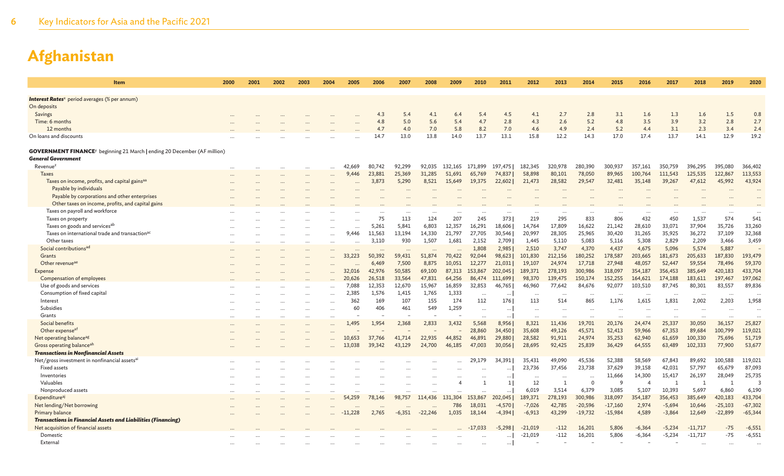| Item                                                                                        | 2000     | 2001                 | 2002 | 2003      | 2004     | 2005      | 2006   | 2007     | 2008                 | 2009      | 2010                 | 2011         | 2012      | 2013      | 2014                 | 2015      | 2016           | 2017                 | 2018           | 2019         | 2020      |
|---------------------------------------------------------------------------------------------|----------|----------------------|------|-----------|----------|-----------|--------|----------|----------------------|-----------|----------------------|--------------|-----------|-----------|----------------------|-----------|----------------|----------------------|----------------|--------------|-----------|
|                                                                                             |          |                      |      |           |          |           |        |          |                      |           |                      |              |           |           |                      |           |                |                      |                |              |           |
| <b>Interest Rates</b> <sup>x</sup> period averages (% per annum)                            |          |                      |      |           |          |           |        |          |                      |           |                      |              |           |           |                      |           |                |                      |                |              |           |
| On deposits                                                                                 |          |                      |      |           |          |           |        |          |                      |           |                      |              |           |           |                      |           |                |                      |                |              |           |
| Savings                                                                                     |          |                      |      |           |          |           | 4.3    | 5.4      | 4.1                  | 6.4       | 5.4                  | 4.5          | 4.1       | 2.7       | 2.8                  | 3.1       | 1.6            | 1.3                  | 1.6            | 1.5          | 0.8       |
| Time: 6 months                                                                              |          |                      |      |           |          |           | 4.8    | 5.0      | 5.6                  | 5.4       | 4.7                  | 2.8          | 4.3       | 2.6       | 5.2                  | 4.8       | 3.5            | 3.9                  | 3.2            | 2.8          | 2.7       |
| 12 months                                                                                   |          |                      |      |           |          |           | 4.7    | 4.0      | 7.0                  | 5.8       | 8.2                  | 7.0          | 4.6       | 4.9       | 2.4                  | 5.2       | 4.4            | 3.1                  | 2.3            | 3.4          | 2.4       |
| On loans and discounts                                                                      |          |                      |      |           |          |           | 14.7   | 13.0     | 13.8                 | 14.0      | 13.7                 | 13.1         | 15.8      | 12.2      | 14.3                 | 17.0      | 17.4           | 13.7                 | 14.1           | 12.9         | 19.2      |
| <b>GOVERNMENT FINANCE</b> <sup>y</sup> beginning 21 March   ending 20 December (AF million) |          |                      |      |           |          |           |        |          |                      |           |                      |              |           |           |                      |           |                |                      |                |              |           |
| <b>General Government</b>                                                                   |          |                      |      |           |          |           |        |          |                      |           |                      |              |           |           |                      |           |                |                      |                |              |           |
| Revenue <sup>2</sup>                                                                        |          |                      |      |           |          | 42,669    | 80.742 | 92,299   | 92,035               | 132,165   | 171.899              | 197.475      | 182.345   | 320,978   | 280,390              | 300,937   | 357,161        | 350,759              | 396,295        | 395,080      | 366,402   |
| <b>Taxes</b>                                                                                |          |                      |      |           |          | 9,446     | 23,881 | 25,369   | 31,285               | 51,691    | 65,769               | 74,837       | 58,898    | 80,101    | 78,050               | 89,965    | 100,764        | 111,543              | 125,535        | 122,867      | 113,553   |
| Taxes on income, profits, and capital gains <sup>aa</sup>                                   |          |                      |      |           |          |           | 3,873  | 5,290    | 8,521                | 15,649    | 19,375               | 22,602       | 21,473    | 28,582    | 29,547               | 32,481    | 35,148         | 39,267               | 47,612         | 45,992       | 43,924    |
| Payable by individuals                                                                      |          |                      |      |           |          |           |        |          |                      |           |                      |              |           |           |                      |           |                |                      |                |              |           |
| Payable by corporations and other enterprises                                               |          |                      |      |           |          |           |        |          |                      |           |                      |              |           |           |                      |           |                |                      |                |              |           |
| Other taxes on income, profits, and capital gains                                           |          |                      |      |           |          |           |        |          |                      |           |                      |              |           |           |                      |           |                |                      |                |              |           |
| Taxes on payroll and workforce                                                              |          |                      |      |           |          |           |        |          | $\ddotsc$            | $\ddotsc$ | $\ddots$             | $\cdots$     |           | $\cdots$  | $\cdots$             |           | $\cdots$       |                      | $\cdots$       |              | $\ddotsc$ |
| Taxes on property                                                                           |          |                      |      |           |          |           | 75     | 113      | 124                  | 207       | 245                  | 373          | 219       | 295       | 833                  | 806       | 432            | 450                  | 1,537          | 574          | 541       |
| Taxes on goods and services <sup>ab</sup>                                                   |          |                      |      |           |          |           | 5,261  | 5,841    | 6,803                | 12,357    | 16,291               | 18,606       | 14.764    | 17,809    | 16,622               | 21,142    | 28,610         | 33,071               | 37,904         | 35,726       | 33,260    |
| Taxes on international trade and transaction <sup>ac</sup>                                  |          |                      |      |           |          | 9,446     | 11,563 | 13,194   | 14,330               | 21,797    | 27,705               | 30,546       | 20,997    | 28,305    | 25,965               | 30,420    | 31,265         | 35,925               | 36,272         | 37,109       | 32,368    |
| Other taxes                                                                                 | $\cdots$ | $\ddot{\phantom{a}}$ |      |           | $\cdots$ | $\cdots$  | 3,110  | 930      | 1,507                | 1,681     | 2,152                | 2,709        | 1,445     | 5,110     | 5,083                | 5,116     | 5,308          | 2,829                | 2,209          | 3,466        | 3,459     |
| Social contributions <sup>ad</sup>                                                          |          |                      |      |           |          |           |        | $\ddots$ |                      |           | 1,808                | 2,985        | 2,510     | 3,747     | 4,370                | 4,437     | 4,675          | 5,096                | 5,574          | 5,887        |           |
| Grants                                                                                      |          |                      |      |           |          | 33,223    | 50,392 | 59,431   | 51,874               | 70,422    | 92,044               | 98,623       | 101,830   | 212,156   | 180,252              | 178,587   | 203,665        | 181,673              | 205,633        | 187,830      | 193,479   |
| Other revenue <sup>ae</sup>                                                                 |          |                      |      |           |          |           | 6,469  | 7,500    | 8,875                | 10.051    | 12,277               | 21,031       | 19,107    | 24,974    | 17,718               | 27,948    | 48,057         | 52,447               | 59,554         | 78,496       | 59,370    |
| <b>Expense</b>                                                                              |          |                      |      |           |          | 32,016    | 42,976 | 50,585   | 69,100               | 87,313    | 153,867              | 202,045      | 189,371   | 278,193   | 300,986              | 318,097   | 354,187        | 356,453              | 385,649        | 420,183      | 433,704   |
| Compensation of employees                                                                   |          |                      |      |           |          | 20,626    | 26,518 | 33,564   | 47,831               | 64,256    | 86,474               | 111,699      | 98,370    | 139,475   | 150,174              | 152,255   | 164,621        | 174,188              | 183,611        | 197,467      | 197,062   |
| Use of goods and services                                                                   |          |                      |      |           |          | 7.088     | 12.353 | 12,670   | 15,967               | 16,859    | 32,853               | 46,765       | 46,960    | 77.642    | 84,676               | 92,077    | 103,510        | 87.745               | 80.301         | 83,557       | 89,836    |
| Consumption of fixed capital                                                                |          |                      |      |           |          | 2,385     | 1,576  | 1,415    | 1,765                | 1,333     | $\ddot{\phantom{a}}$ | $\ddotsc$    | $\ddots$  | $\ddotsc$ | $\ddot{\phantom{a}}$ |           |                | $\ddot{\phantom{a}}$ | $\cdots$       |              | $\ddots$  |
| Interest                                                                                    |          |                      |      |           |          | 362       | 169    | 107      | 155                  | 174       | 112                  | 176          | 113       | 514       | 865                  | 1.176     | 1,615          | 1,831                | 2,002          | 2,203        | 1,958     |
| Subsidies                                                                                   |          |                      |      |           |          | 60        | 406    | 461      | 549                  | 1,259     | $\ddotsc$            | $\cdot\cdot$ | $\ddots$  |           |                      |           |                |                      | $\cdots$       |              | $\ddots$  |
| Grants                                                                                      |          |                      |      |           |          |           |        |          |                      |           |                      |              |           |           |                      |           |                |                      |                |              |           |
| Social benefits                                                                             | $\cdots$ |                      |      |           |          | 1,495     | 1,954  | 2,368    | 2,833                | 3,432     | 5,568                | 8,956        | 8,321     | 11,436    | 19,701               | 20,176    | 24,474         | 25,337               | 30,050         | 36,157       | 25,827    |
| Other expense <sup>af</sup>                                                                 |          |                      |      |           |          |           |        |          |                      |           | 28,860               | 34,450       | 35,608    | 49,126    | 45,571               | 52,413    | 59,966         | 67,353               | 89,684         | 100,799      | 119,021   |
| Net operating balance <sup>ag</sup>                                                         |          |                      |      |           |          | 10,653    | 37,766 | 41,714   | 22,935               | 44,852    | 46,891               | 29,880       | 28,582    | 91,911    | 24,974               | 35,253    | 62,940         | 61,659               | 100,330        | 75,696       | 51,719    |
| Gross operating balanceah                                                                   |          |                      |      |           |          | 13,038    | 39,342 | 43,129   | 24,700               | 46,185    | 47,003               | 30,056       | 28,695    | 92,425    | 25,839               | 36,429    | 64,555         | 63,489               | 102,333        | 77,900       | 53,677    |
| <b>Transactions in Nonfinancial Assets</b>                                                  |          |                      |      |           |          |           |        |          |                      |           |                      |              |           |           |                      |           |                |                      |                |              |           |
| Net/gross investment in nonfinancial assets <sup>al</sup>                                   |          |                      |      |           |          |           |        |          |                      |           | 29,179               | 34.391       | 35,431    | 49,090    | 45,536               | 52,388    | 58,569         | 67,843               | 89,692         | 100,588      | 119,021   |
| <b>Fixed assets</b>                                                                         |          |                      |      |           |          |           |        |          |                      |           |                      |              | 23,736    | 37,456    | 23,738               | 37,629    | 39,158         | 42,031               | 57,797         | 65,679       | 87,093    |
| Inventories                                                                                 |          |                      |      |           |          |           |        |          |                      |           |                      | $\cdots$     |           | $\ddots$  |                      | 11,666    | 14,300         | 15,417               | 26,197         | 28,049       | 25,735    |
| Valuables                                                                                   |          |                      |      |           |          |           |        |          |                      |           | $\mathbf{1}$         | 1            | 12        | 1         | $\Omega$             | q         | $\overline{4}$ | -1                   | $\overline{1}$ | $\mathbf{1}$ | 3         |
| Nonproduced assets                                                                          |          | $\cdots$             |      |           |          |           |        | $\cdots$ | $\cdots$             |           | $\ddot{\phantom{a}}$ |              | 6,019     | 3,514     | 6,379                | 3,085     | 5,107          | 10,393               | 5,697          | 6,860        | 6,190     |
| Expenditure <sup>aj</sup>                                                                   | $\cdots$ |                      |      | $\ddotsc$ |          | 54,259    | 78,146 | 98,757   | 114,436              | 131,304   | 153,867              | 202,045      | 189,371   | 278,193   | 300,986              | 318,097   | 354,187        | 356,453              | 385,649        | 420,183      | 433,704   |
| Net lending/Net borrowing                                                                   |          |                      |      |           |          |           |        |          | $\ddot{\phantom{a}}$ | 786       | 18,031               | $-4,570$     | $-7,026$  | 42,785    | $-20,596$            | $-17,160$ | 2,974          | $-5,694$             | 10,646         | $-25,103$    | $-67,302$ |
| Primary balance                                                                             |          |                      |      |           |          | $-11,228$ | 2,765  | $-6,351$ | $-22,246$            | 1,035     | 18,144               | $-4,394$     | $-6,913$  | 43,299    | $-19,732$            | $-15,984$ | 4,589          | $-3,864$             | 12,649         | $-22,899$    | $-65,344$ |
| <b>Transactions in Financial Assets and Liabilities (Financing)</b>                         |          |                      |      |           |          |           |        |          |                      |           |                      |              |           |           |                      |           |                |                      |                |              |           |
| Net acquisition of financial assets                                                         |          |                      |      |           |          |           |        |          |                      |           | $-17.033$            | $-5.2981$    | $-21,019$ | $-112$    | 16,201               | 5,806     | $-6,364$       | $-5,234$             | $-11,717$      | $-75$        | $-6,551$  |
| Domestic                                                                                    |          |                      |      |           |          |           |        |          |                      |           |                      |              | $-21,019$ | $-112$    | 16,201               | 5,806     | $-6,364$       | $-5,234$             | $-11,717$      | $-75$        | $-6,551$  |
| External                                                                                    |          |                      |      |           |          |           |        |          |                      | $\ddotsc$ | $\ddotsc$            | $\cdots$     |           |           |                      |           |                |                      | $\cdots$       |              |           |
|                                                                                             |          |                      |      |           |          |           |        |          |                      |           |                      |              |           |           |                      |           |                |                      |                |              |           |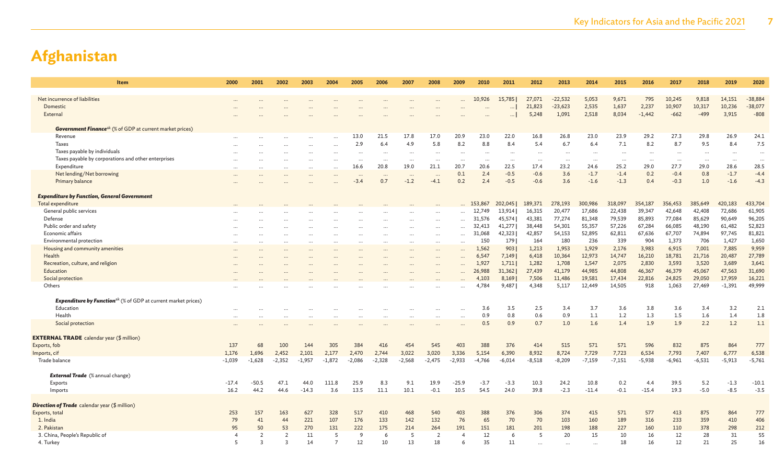| <b>Item</b>                                                                      | 2000                     | 2001                 | 2002     | 2003      | 2004           | 2005                | 2006     | 2007      | 2008                  | 2009                     | 2010                     | 2011      | 2012     | 2013      | 2014      | 2015     | 2016     | 2017                     | 2018      | 2019      | 2020      |
|----------------------------------------------------------------------------------|--------------------------|----------------------|----------|-----------|----------------|---------------------|----------|-----------|-----------------------|--------------------------|--------------------------|-----------|----------|-----------|-----------|----------|----------|--------------------------|-----------|-----------|-----------|
|                                                                                  |                          |                      |          |           |                |                     |          |           |                       |                          |                          |           |          |           |           |          |          |                          |           |           |           |
| Net incurrence of liabilities                                                    |                          |                      |          |           |                |                     |          |           |                       |                          | 10,926                   | 15,785    | 27,071   | $-22,532$ | 5,053     | 9,671    | 795      | 10,245                   | 9,818     | 14,151    | $-38,884$ |
| Domestic                                                                         |                          |                      |          |           |                |                     |          |           |                       |                          |                          |           | 21,823   | $-23,623$ | 2,535     | 1,637    | 2,237    | 10,907                   | 10,317    | 10,236    | $-38,077$ |
| External                                                                         |                          |                      |          |           |                |                     |          |           |                       |                          |                          | $\cdots$  | 5,248    | 1,091     | 2,518     | 8,034    | $-1,442$ | $-662$                   | $-499$    | 3,915     | $-808$    |
|                                                                                  |                          |                      |          |           |                |                     |          |           |                       |                          |                          |           |          |           |           |          |          |                          |           |           |           |
| <b>Government Finance</b> <sup>ak</sup> (% of GDP at current market prices)      |                          |                      |          |           |                |                     |          |           |                       |                          |                          |           |          |           |           |          |          |                          |           |           |           |
| Revenue                                                                          |                          |                      |          |           |                | 13.0                | 21.5     | 17.8      | 17.0                  | 20.9                     | 23.0                     | 22.0      | 16.8     | 26.8      | 23.0      | 23.9     | 29.2     | 27.3                     | 29.8      | 26.9      | 24.1      |
| <b>Taxes</b>                                                                     |                          |                      |          |           |                | 2.9                 | 6.4      | 4.9       | 5.8                   | 8.2                      | 8.8                      | 8.4       | 5.4      | 6.7       | 6.4       | 7.1      | 8.2      | 8.7                      | 9.5       | 8.4       | 7.5       |
| Taxes payable by individuals                                                     |                          |                      |          |           |                |                     |          | $\cdots$  | $\cdots$              | $\overline{\phantom{a}}$ | $\overline{\phantom{a}}$ | $\ddotsc$ | $\cdots$ | $\cdots$  |           | $\cdots$ |          | $\overline{\phantom{a}}$ | $\cdots$  |           | $\cdots$  |
| Taxes payable by corporations and other enterprises                              |                          |                      |          |           |                |                     | $\cdots$ | $\cdots$  | $\ddots$              | $\cdots$                 | $\sim$                   | $\cdots$  | $\cdots$ |           | $\cdots$  | $\cdots$ | $\cdots$ |                          | $\cdots$  | $\cdots$  | $\cdots$  |
| Expenditure                                                                      |                          |                      |          |           |                | 16.6                | 20.8     | 19.0      | 21.1                  | 20.7                     | 20.6                     | 22.5      | 17.4     | 23.2      | 24.6      | 25.2     | 29.0     | 27.7                     | 29.0      | 28.6      | 28.5      |
| Net lending/Net borrowing                                                        |                          |                      |          |           |                | $\cdots$            | $\cdots$ | $\cdots$  | $\ddots$              | 0.1                      | 2.4                      | $-0.5$    | $-0.6$   | 3.6       | $-1.7$    | $-1.4$   | 0.2      | $-0.4$                   | 0.8       | $-1.7$    | $-4.4$    |
| Primary balance                                                                  |                          |                      |          |           |                | $-3.4$              | 0.7      | $-1.2$    | $-4.1$                | 0.2                      | 2.4                      | $-0.5$    | $-0.6$   | 3.6       | $-1.6$    | $-1.3$   | 0.4      | $-0.3$                   | 1.0       | $-1.6$    | $-4.3$    |
| <b>Expenditure by Function, General Government</b>                               |                          |                      |          |           |                |                     |          |           |                       |                          |                          |           |          |           |           |          |          |                          |           |           |           |
| <b>Total expenditure</b>                                                         |                          |                      |          |           |                |                     |          |           |                       |                          | 153,867                  | 202,045   | 189,371  | 278,193   | 300,986   | 318,097  | 354,187  | 356,453                  | 385,649   | 420,183   | 433,704   |
| General public services                                                          |                          |                      |          |           |                |                     |          |           | $\cdots$              | $\ddotsc$                | 12,749                   | 13,914    | 16,315   | 20,477    | 17,686    | 22,438   | 39,347   | 42,648                   | 42,408    | 72,686    | 61,905    |
| Defense                                                                          |                          |                      |          |           |                |                     |          |           | $\ddots$              |                          | 31,576                   | 45,574    | 43,381   | 77,274    | 81,348    | 79,539   | 85,893   | 77,084                   | 85,629    | 90,649    | 96,205    |
| Public order and safety                                                          |                          |                      |          |           |                |                     |          |           | $\ddots$              | $\ddotsc$                | 32,413                   | 41,277    | 38,448   | 54,301    | 55,357    | 57,226   | 67,284   | 66,085                   | 48,190    | 61,482    | 52,823    |
| Economic affairs                                                                 |                          |                      |          |           |                |                     |          | $\ddotsc$ | $\cdots$              | $\cdots$                 | 31,068                   | 42,323    | 42,857   | 54,153    | 52,895    | 62,811   | 67,636   | 67,707                   | 74,894    | 97,745    | 81,821    |
| Environmental protection                                                         | $\overline{\phantom{a}}$ | $\sim$               |          | $\ddotsc$ |                |                     |          | $\ddotsc$ | $\cdots$              | $\ddotsc$                | 150                      | 179       | 164      | 180       | 236       | 339      | 904      | 1,373                    | 706       | 1,427     | 1,650     |
| Housing and community amenities                                                  |                          |                      |          |           |                |                     |          |           | $\ddots$              | $\ddotsc$                | 1,562                    | 903       | 1,213    | 1,953     | 1,929     | 2,176    | 3,983    | 6,915                    | 7,001     | 7,885     | 9,959     |
| Health                                                                           |                          |                      |          |           |                |                     |          |           |                       |                          | 6,547                    | 7,149     | 6,418    | 10,364    | 12,973    | 14,747   | 16,210   | 18,781                   | 21,716    | 20,487    | 27,789    |
| Recreation, culture, and religion                                                |                          |                      |          |           |                |                     |          |           |                       |                          | 1,927                    | 1,711     | 1,282    | 1,708     | 1,547     | 2,075    | 2,830    | 3,593                    | 3,520     | 3,689     | 3,641     |
| Education                                                                        |                          |                      |          |           |                |                     |          |           |                       |                          | 26,988                   | 31,362    | 27,439   | 41,179    | 44,985    | 44,808   | 46,367   | 46,379                   | 45,067    | 47,563    | 31,690    |
| Social protection                                                                |                          |                      |          |           |                |                     |          |           |                       |                          | 4,103                    | 8,169     | 7,506    | 11,486    | 19,581    | 17,434   | 22,816   | 24,825                   | 29,050    | 17,959    | 16,221    |
| Others                                                                           |                          |                      |          |           |                |                     |          |           |                       |                          | 4,784                    | 9,487     | 4.348    | 5,117     | 12,449    | 14,505   | 918      | 1,063                    | 27,469    | $-1,391$  | 49,999    |
| <b>Expenditure by Function</b> <sup>ak</sup> (% of GDP at current market prices) |                          |                      |          |           |                |                     |          |           |                       |                          |                          |           |          |           |           |          |          |                          |           |           |           |
| Education                                                                        |                          |                      |          |           |                |                     |          |           |                       |                          | 3.6                      | 3.5       | 2.5      | 3.4       | 3.7       | 3.6      | 3.8      | 3.6                      | 3.4       | 3.2       | 2.1       |
| Health                                                                           |                          |                      |          |           |                |                     |          |           | $\cdots$<br>$\cdots$  | $\ddotsc$<br>$\ddotsc$   | 0.9                      | 0.8       | 0.6      | 0.9       | 1.1       | 1.2      | 1.3      | 1.5                      | 1.6       | 1.4       | 1.8       |
| Social protection                                                                | <br>$\cdots$             |                      |          |           |                |                     |          |           | $\ddots$              | $\cdots$                 | 0.5                      | 0.9       | 0.7      | 1.0       | 1.6       | 1.4      | 1.9      | 1.9                      | 2.2       | 1.2       | 1.1       |
|                                                                                  |                          |                      |          |           |                |                     |          |           |                       |                          |                          |           |          |           |           |          |          |                          |           |           |           |
| <b>EXTERNAL TRADE</b> calendar year (\$ million)                                 |                          |                      |          |           |                |                     |          |           |                       |                          |                          |           |          |           |           |          |          |                          |           |           |           |
| Exports, fob                                                                     | 137                      | 68                   | 100      | 144       | 305            | 384                 | 416      | 454       | 545                   | 403                      | 388                      | 376       | 414      | 515       | 571       | 571      | 596      | 832                      | 875       | 864       | 777       |
| Imports, cif                                                                     | 1,176                    | 1,696                | 2,452    | 2,101     | 2,177          | 2,470               | 2,744    | 3,022     | 3,020                 | 3,336                    | 5,154                    | 6,390     | 8,932    | 8,724     | 7,729     | 7,723    | 6,534    | 7,793                    | 7,407     | 6,777     | 6,538     |
| Trade balance                                                                    | $-1,039$                 | $-1,628$             | $-2,352$ | $-1,957$  | $-1,872$       | $-2,086$            | $-2,328$ | $-2,568$  | $-2,475$              | $-2,933$                 | $-4,766$                 | $-6,014$  | $-8,518$ | $-8,209$  | $-7,159$  | $-7,151$ | $-5,938$ | $-6,961$                 | $-6,531$  | $-5,913$  | $-5,761$  |
|                                                                                  |                          |                      |          |           |                |                     |          |           |                       |                          |                          |           |          |           |           |          |          |                          |           |           |           |
| <b>External Trade</b> (% annual change)                                          |                          |                      |          |           |                |                     |          |           |                       |                          |                          |           |          |           |           |          |          |                          |           |           |           |
| Exports                                                                          | $-17.4$                  | $-50.5$              | 47.1     | 44.0      | 111.8          | 25.9                | 8.3      | 9.1       | 19.9                  | $-25.9$                  | $-3.7$                   | $-3.3$    | 10.3     | 24.2      | 10.8      | 0.2      | 4.4      | 39.5                     | 5.2       | $-1.3$    | $-10.1$   |
| Imports                                                                          | 16.2                     | 44.2                 | 44.6     | $-14.3$   | 3.6            | 13.5                | 11.1     | 10.1      | $-0.1$                | 10.5                     | 54.5                     | 24.0      | 39.8     | $-2.3$    | $-11.4$   | $-0.1$   | $-15.4$  | 19.3                     | $-5.0$    | $-8.5$    | $-3.5$    |
|                                                                                  |                          |                      |          |           |                |                     |          |           |                       |                          |                          |           |          |           |           |          |          |                          |           |           |           |
| <b>Direction of Trade</b> calendar year (\$ million)                             |                          |                      |          |           |                |                     |          |           |                       |                          |                          |           |          |           |           |          |          |                          |           |           |           |
| Exports, total                                                                   | 253                      | 157                  | 163      | 627       | 328            | 517                 | 410      | 468       | 540                   | 403                      | 388                      | 376       | 306      | 374       | 415       | 571      | 577      | 413                      | 875       | 864       | 777       |
| 1. India                                                                         | 79                       | 41                   | 44       | 221       | 107            | 176                 | 133      | 142       | 132                   | 76                       | 65                       | 70        | 70       | 103       | 160       | 189      | 316      | 233                      | 359       | 410       | 406       |
| 2. Pakistan                                                                      | 95<br>$\overline{4}$     | 50<br>$\overline{2}$ | 53<br>2  | 270<br>11 | 131<br>-5      | 222<br><sup>9</sup> | 175      | 214<br>5  | 264<br>$\overline{2}$ | 191                      | 151<br>12                | 181       | 201<br>5 | 198<br>20 | 188<br>15 | 227      | 160      | 110                      | 378<br>28 | 298<br>31 | 212<br>55 |
| 3. China, People's Republic of<br>4. Turkey                                      | 5                        | $\overline{3}$       | 3        | 14        | $\overline{7}$ | 12                  | 6<br>10  | 13        | 18                    | $\overline{4}$<br>-6     | 35                       | -6<br>11  |          |           |           | 10<br>18 | 16<br>16 | 12<br>12                 | 21        | 25        | 16        |
|                                                                                  |                          |                      |          |           |                |                     |          |           |                       |                          |                          |           |          |           | $\cdots$  |          |          |                          |           |           |           |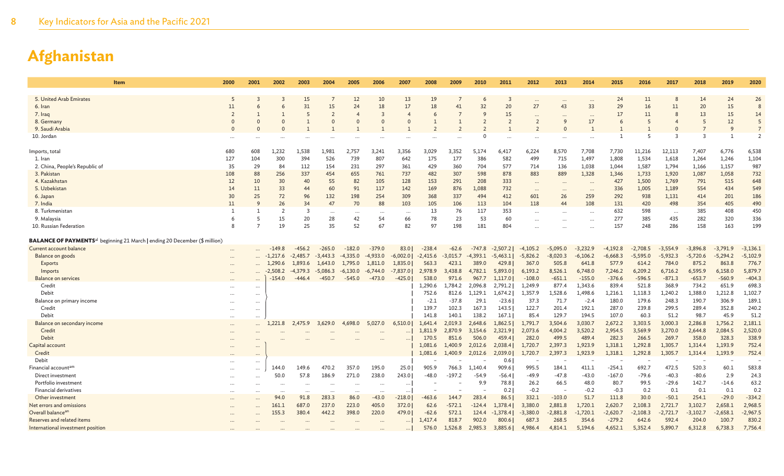| Item                                                                                   | 2000                       | 2001                 | 2002       | 2003           | 2004       | 2005          | 2006          | 2007                       | 2008       | 2009       | 2010       | 2011       | 2012                     | 2013                     | 2014            | 2015       | 2016       | 2017       | 2018           | 2019       | 2020           |
|----------------------------------------------------------------------------------------|----------------------------|----------------------|------------|----------------|------------|---------------|---------------|----------------------------|------------|------------|------------|------------|--------------------------|--------------------------|-----------------|------------|------------|------------|----------------|------------|----------------|
|                                                                                        |                            |                      |            |                |            |               |               |                            |            |            |            |            |                          |                          |                 |            |            |            |                |            |                |
| 5. United Arab Emirates                                                                | 5                          |                      |            | 15             |            | 12            | 10            | 13                         | 19         |            |            |            | $\cdots$                 | $\ddots$                 | $\cdots$        | 24         | 11         |            | 14             | 24         | 26             |
| 6. Iran                                                                                | 11                         |                      |            | 31             | 15         | 24            | 18            | 17                         | 18         | 41         | 32         | 20         | 27                       | 43                       | 33              | 29         | 16         | 11         | 20             | 15         | 8              |
| 7. Iraq                                                                                | $\overline{2}$<br>$\Omega$ |                      |            | 5              | $\Omega$   | 4<br>$\Omega$ | 3<br>$\Omega$ | $\overline{4}$<br>$\Omega$ | -6         |            | ç          | 15         | $\overline{2}$           | 9                        | $\ddotsc$<br>17 | 17<br>6    | 11<br>5    |            | 13<br>5        | 15<br>12   | 14<br>5        |
| 8. Germany                                                                             |                            |                      |            |                |            |               |               |                            |            |            |            |            |                          |                          |                 |            |            |            | $\overline{7}$ | 9          | $\overline{7}$ |
| 9. Saudi Arabia                                                                        |                            |                      |            |                |            |               |               |                            |            |            |            |            |                          |                          |                 |            | 5          |            | $\overline{3}$ |            | $\overline{2}$ |
| 10. Jordan                                                                             |                            |                      |            |                |            |               |               |                            |            |            |            |            |                          |                          |                 |            |            |            |                |            |                |
| Imports, total                                                                         | 680                        | 608                  | 1,232      | 1,538          | 1,981      | 2,757         | 3,241         | 3,356                      | 3,029      | 3,352      | 5,174      | 6,417      | 6,224                    | 8,570                    | 7,708           | 7,730      | 11,216     | 12,113     | 7,407          | 6,776      | 6,538          |
| 1. Iran                                                                                | 127                        | 104                  | 300        | 394            | 526        | 739           | 807           | 642                        | 175        | 177        | 386        | 582        | 499                      | 715                      | 1,497           | 1,808      | 1,534      | 1,618      | 1,264          | 1,246      | 1,104          |
| 2. China, People's Republic of                                                         | 35                         | 29                   | 84         | 112            | 154        | 231           | 297           | 361                        | 429        | 360        | 704        | 577        | 714                      | 136                      | 1,038           | 1,044      | 1,587      | 1,794      | 1,166          | 1,157      | 987            |
| 3. Pakistan                                                                            | 108                        | 88                   | 256        | 337            | 454        | 655           | 761           | 737                        | 482        | 307        | 598        | 878        | 883                      | 889                      | 1,328           | 1,346      | 1,733      | 1,920      | 1,087          | 1,058      | 732            |
| 4. Kazakhstan                                                                          | 12                         | 10                   | 30         | 40             | 55         | 82            | 105           | 128                        | 153        | 291        | 208        | 333        |                          | $\cdots$                 |                 | 427        | 1,500      | 1,769      | 791            | 515        | 648            |
| 5. Uzbekistan                                                                          | 14                         | 11                   | 33         | 44             | 60         | 91            | 117           | 142                        | 169        | 876        | 1,088      | 732        | $\cdots$                 | $\cdots$                 | $\ddotsc$       | 336        | 1,005      | 1,189      | 554            | 434        | 549            |
| 6. Japan                                                                               | 30                         | 25                   | 72         | 96             | 132        | 198           | 254           | 309                        | 368        | 337        | 494        | 412        | 601                      | 26                       | 259             | 292        | 938        | 1,131      | 414            | 201        | 186            |
| 7. India                                                                               | 11                         | 9                    | 26         | 34             | 47         | 70            | 88            | 103                        | 105        | 106        | 113        | 104        | 118                      | 44                       | 108             | 131        | 420        | 498        | 354            | 405        | 490            |
| 8. Turkmenistan                                                                        | 1                          |                      | - 7        | $\overline{3}$ |            |               |               | $\cdots$                   | 13         | 76         | 117        | 353        | $\ddots$                 | $\cdots$                 | $\ddotsc$       | 632        | 598        | $\ddots$   | 385            | 408        | 450            |
| 9. Malaysia                                                                            | 6                          |                      | 15         | 20             | 28         | 42            | 54            | 66                         | 78         | 23         | 53         | 60         | $\cdots$                 | $\ddots$                 | $\ddotsc$       | 277        | 385        | 435        | 282            | 320        | 336            |
| 10. Russian Federation                                                                 | 8                          |                      | 19         | 25             | 35         | 52            | 67            | 82                         | 97         | 198        | 181        | 804        | $\cdots$                 |                          |                 | 157        | 248        | 286        | 158            | 163        | 199            |
| BALANCE OF PAYMENTS <sup>al</sup> beginning 21 March   ending 20 December (\$ million) |                            |                      |            |                |            |               |               |                            |            |            |            |            |                          |                          |                 |            |            |            |                |            |                |
| Current account balance                                                                |                            |                      | $-149.8$   | $-456.2$       | $-265.0$   | $-182.0$      | $-379.0$      | 83.0                       | $-238.4$   | $-62.6$    | $-747.8$   | $-2,507.2$ | $-4,105.2$               | $-5,095.0$               | $-3,232.9$      | $-4,192.8$ | $-2,708.5$ | $-3,554.9$ | $-3,896.8$     | $-3,791.9$ | $-3,136.1$     |
| Balance on goods                                                                       |                            |                      | $-1,217.6$ | $-2,485.7$     | $-3,443.3$ | $-4,335.0$    | $-4,933.0$    | $-6,002.0$                 | $-2,415.6$ | $-3,015.7$ | $-4,393.1$ | $-5,463.1$ | $-5,826.2$               | $-8,020.3$               | $-6,106.2$      | $-6,668.3$ | $-5,595.0$ | $-5,932.3$ | $-5,720.6$     | $-5,294.2$ | $-5,102.9$     |
| <b>Exports</b>                                                                         |                            |                      | 1.290.6    | 1,893.6        | 1,643.0    | 1,795.0       | 1,811.0       | 1,835.0                    | 563.3      | 423.1      | 389.0      | 429.8      | 367.0                    | 505.8                    | 641.8           | 577.9      | 614.2      | 784.0      | 875.2          | 863.8      | 776.7          |
| Imports                                                                                |                            |                      | $-2,508.2$ | $-4,379.3$     | $-5,086.3$ | $-6,130.0$    | $-6,744.0$    | $-7,837.0$                 | 2,978.9    | 3,438.8    | 4,782.1    | 5,893.0    | 6,193.2                  | 8,526.1                  | 6,748.0         | 7,246.2    | 6,209.2    | 6,716.2    | 6,595.9        | 6,158.0    | 5,879.7        |
| Balance on services                                                                    |                            |                      | -154.0     | -446.4         | -450.7     | $-545.0$      | $-473.0$      | $-425.0$                   | 538.0      | 971.6      | 967.7      | 1,117.0    | $-108.0$                 | $-651.1$                 | $-155.0$        | $-376.6$   | $-596.5$   | $-871.3$   | $-653.7$       | $-560.9$   | $-404.3$       |
| Credit                                                                                 |                            | $\cdots$             |            |                |            |               |               |                            | 1.290.6    | 1.784.2    | 2.096.8    | 2,791.2    | 1,249.9                  | 877.4                    | 1,343.6         | 839.4      | 521.8      | 368.9      | 734.2          | 651.9      | 698.3          |
| Debit                                                                                  |                            | $\cdots$             |            |                |            |               |               |                            | 752.6      | 812.6      | 1,129.1    | 1,674.2    | 1,357.9                  | 1,528.6                  | 1,498.6         | 1,216.1    | 1,118.3    | 1,240.2    | 1,388.0        | 1,212.8    | 1,102.7        |
| Balance on primary income                                                              |                            |                      |            |                |            |               |               |                            | $-2.1$     | $-37.8$    | 29.1       | $-23.6$    | 37.3                     | 71.7                     | $-2.4$          | 180.0      | 179.6      | 248.3      | 190.7          | 306.9      | 189.1          |
| Credit                                                                                 |                            |                      |            |                |            |               |               |                            | 139.7      | 102.3      | 167.3      | 143.5      | 122.7                    | 201.4                    | 192.1           | 287.0      | 239.8      | 299.5      | 289.4          | 352.8      | 240.2          |
| Debit                                                                                  | $\ddotsc$                  | $\cdots$             |            |                |            |               |               |                            | 141.8      | 140.1      | 138.2      | 167.1      | 85.4                     | 129.7                    | 194.5           | 107.0      | 60.3       | 51.2       | 98.7           | 45.9       | 51.2           |
| Balance on secondary income                                                            | $\ddotsc$                  | $\ddotsc$            | 1,221.8    | 2,475.9        | 3,629.0    | 4,698.0       | 5,027.0       | 6,510.0                    | 1,641.4    | 2,019.3    | 2,648.6    | 1,862.5    | 1,791.7                  | 3,504.6                  | 3,030.7         | 2,672.2    | 3,303.5    | 3,000.3    | 2,286.8        | 1,756.2    | 2,181.1        |
| Credit                                                                                 |                            |                      |            |                |            |               |               |                            | 1,811.9    | 2,870.9    | 3,154.6    | 2,321.9    | 2,073.6                  | 4,004.2                  | 3,520.2         | 2,954.5    | 3,569.9    | 3,270.0    | 2,644.8        | 2,084.5    | 2,520.0        |
| Debit                                                                                  |                            |                      |            |                |            |               |               |                            | 170.5      | 851.6      | 506.0      | 459.4      | 282.0                    | 499.5                    | 489.4           | 282.3      | 266.5      | 269.7      | 358.0          | 328.3      | 338.9          |
| Capital account                                                                        |                            |                      |            |                |            |               |               |                            | 1,081.6    | 1,400.9    | 2,012.6    | 2,038.4    | 1,720.7                  | 2,397.3                  | 1,923.9         | 1,318.1    | 1,292.8    | 1,305.7    | 1,314.4        | 1,193.9    | 752.4          |
| Credit                                                                                 |                            |                      |            |                |            |               |               |                            | 1,081.6    | 1,400.9    | 2,012.6    | 2,039.0    | 1,720.7                  | 2,397.3                  | 1,923.9         | 1,318.1    | 1,292.8    | 1,305.7    | 1,314.4        | 1,193.9    | 752.4          |
| Debit                                                                                  |                            |                      |            |                |            |               |               |                            |            |            |            | 0.6        | $\overline{\phantom{a}}$ |                          |                 |            |            |            |                |            |                |
| Financial account <sup>am</sup>                                                        | $\cdots$                   | $\ddotsc$            | 144.0      | 149.6          | 470.2      | 357.0         | 195.0         | 25.0                       | 905.9      | 766.3      | 1,140.4    | 909.6      | 995.5                    | 184.1                    | 411.1           | $-254.1$   | 692.7      | 472.5      | 520.3          | 60.1       | 583.8          |
| Direct investment                                                                      |                            |                      | 50.0       | 57.8           | 186.9      | 271.0         | 238.0         | 243.0                      | $-48.0$    | $-197.2$   | $-54.9$    | $-56.4$    | -49.9                    | $-47.8$                  | $-43.0$         | $-167.0$   | $-79.6$    | $-40.3$    | $-80.6$        | 2.9        | 24.3           |
| Portfolio investment                                                                   | $\cdots$                   | $\cdots$             | $\cdots$   | $\cdots$       | $\cdots$   |               | $\ddots$      | $\cdots$                   |            |            | 9.9        | 78.8       | 26.2                     | 66.5                     | 48.0            | 80.7       | 99.5       | $-29.6$    | 142.7          | $-14.6$    | 63.2           |
| Financial derivatives                                                                  | $\cdots$                   | $\ddot{\phantom{a}}$ | $\ddotsc$  | $\cdots$       | $\cdots$   |               | $\cdots$      | $\cdots$                   |            |            |            | 0.2        | $-0.2$                   | $\overline{\phantom{a}}$ | $-0.2$          | $-0.3$     | 0.2        | 0.1        | 0.1            | 0.1        | 0.2            |
| Other investment                                                                       |                            |                      | 94.0       | 91.8           | 283.3      | 86.0          | $-43.0$       | $-218.0$                   | -463.6     | 144.7      | 283.4      | 86.5       | 332.1                    | $-103.0$                 | 51.7            | 111.8      | 30.0       | $-50.1$    | 254.1          | $-29.0$    | $-334.2$       |
| Net errors and omissions                                                               |                            |                      | 161.1      | 687.0          | 237.0      | 223.0         | 405.0         | 372.0                      | 62.6       | $-572.1$   | $-124.4$   | 1,378.4    | 3,380.0                  | 2,881.8                  | 1,720.1         | 2,620.7    | 2,108.3    | 2,721.7    | 3,102.7        | 2,658.1    | 2,968.5        |
| Overall balancean                                                                      |                            |                      | 155.3      | 380.4          | 442.2      | 398.0         | 220.0         | 479.0                      | $-62.6$    | 572.1      | 124.4      | $-1,378.4$ | $-3,380.0$               | $-2,881.8$               | $-1,720.1$      | $-2,620.7$ | $-2,108.3$ | -2,721.7   | $-3,102.7$     | $-2,658.1$ | $-2,967.5$     |
| Reserves and related items                                                             |                            |                      |            |                |            |               |               | $\cdots$                   | 1,417.4    | 818.7      | 902.0      | 800.6      | 687.3                    | 268.5                    | 354.6           | $-279.2$   | 642.6      | 592.4      | 204.0          | 100.7      | 830.2          |
| International investment position                                                      |                            |                      |            |                |            |               | $\ddots$      | $\cdots$                   | 576.0      | 1,526.8    | 2,985.3    | 3,885.6    | 4,986.4                  | 4,814.1                  | 5,194.6         | 4,652.1    | 5,352.4    | 5,890.7    | 6,312.8        | 6,738.3    | 7,756.4        |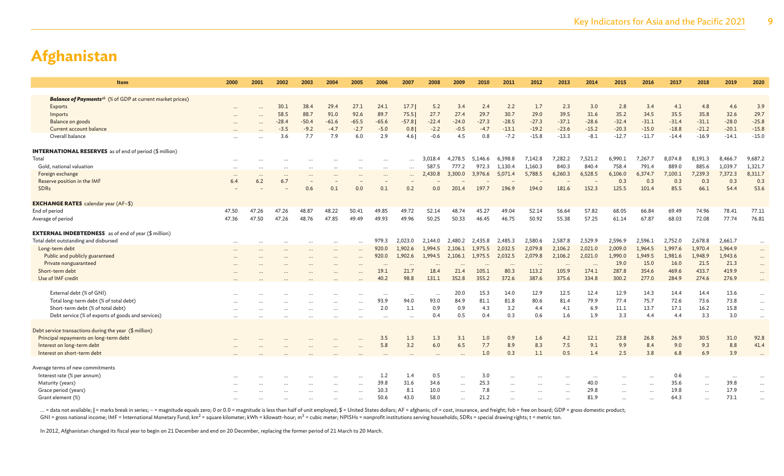| <b>Balance of Payments</b> <sup>ak</sup> (% of GDP at current market prices)                                                                                                                     |                               |
|--------------------------------------------------------------------------------------------------------------------------------------------------------------------------------------------------|-------------------------------|
|                                                                                                                                                                                                  |                               |
| 30.1<br>38.4<br>29.4<br>27.1<br>17.7<br>3.4<br>2.4<br>2.2<br>1.7<br>2.3<br>2.8<br>3.4<br>4.1<br>Exports<br>24.1<br>5.2<br>3.0                                                                    | 4.8<br>4.6<br>3.9             |
| 30.7<br>58.5<br>88.7<br>91.0<br>92.6<br>89.7<br>75.5<br>27.7<br>27.4<br>29.7<br>29.0<br>39.5<br>31.6<br>35.2<br>34.5<br>35.5<br>Imports                                                          | 29.7<br>35.8<br>32.6          |
| Balance on goods<br>$-61.6$<br>$-65.6$<br>$-22.4$<br>$-24.0$<br>$-27.3$<br>$-28.5$<br>$-27.3$<br>$-28.6$<br>$-32.4$<br>$-31.1$<br>$-31.4$<br>$-28.4$<br>$-50.4$<br>$-65.5$<br>$-57.8$<br>$-37.1$ | $-31.1$<br>$-28.0$<br>$-25.8$ |
| $-13.1$<br>$-15.0$<br>Current account balance<br>$-9.2$<br>$-2.7$<br>$-5.0$<br>0.8<br>$-2.2$<br>$-0.5$<br>$-19.2$<br>$-23.6$<br>$-15.2$<br>$-20.3$<br>$-18.8$<br>$-3.5$<br>$-4.7$<br>$-4.7$      | $-15.8$<br>$-20.1$<br>$-21.2$ |
| Overall balance<br>7.9<br>$-0.6$<br>$-7.2$<br>$-15.8$<br>$-8.1$<br>$-12.7$<br>3.6<br>7.7<br>6.0<br>2.9<br>$4.6$  <br>4.5<br>0.8<br>$-13.3$<br>$-11.7$<br>$-14.4$                                 | $-15.0$<br>$-16.9$<br>$-14.1$ |
|                                                                                                                                                                                                  |                               |
| <b>INTERNATIONAL RESERVES</b> as of end of period (\$ million)                                                                                                                                   |                               |
| 7,521.2<br>Total<br>6,398.8<br>7,142.8<br>7,282.2<br>6,990.1<br>7,267.7<br>3,018.4<br>4,278.5<br>5,146.6<br>8,074.8<br>$\ddot{\phantom{a}}$<br>$\cdots$<br>                                      | 9,687.2<br>8,191.3<br>8,466.7 |
| 758.4<br>889.0<br>Gold, national valuation<br>1,130.4<br>840.3<br>840.4<br>791.4<br>587.5<br>777.2<br>972.3<br>1,160.3<br>$\cdots$<br>$\cdots$<br>$\ddotsc$<br>$\cdots$                          | 885.6<br>1,039.7<br>1,321.7   |
| 6,528.5<br>Foreign exchange<br>3,300.0<br>5,071.4<br>5,788.5<br>6,260.3<br>6,106.0<br>6,374.7<br>7,100.1<br>2,430.8<br>3,976.6<br>$\cdots$<br>$\ddotsc$<br>$\cdots$                              | 8,311.7<br>7,239.3<br>7,372.3 |
| Reserve position in the IMF<br>6.4<br>6.2<br>6.7<br>0.3<br>0.3<br>0.3<br>$\overline{\phantom{a}}$                                                                                                | 0.3<br>0.3<br>0.3             |
| 201.4<br>197.7<br>196.9<br>194.0<br>181.6<br>152.3<br>125.5<br>101.4<br>85.5<br>SDRs<br>0.6<br>0.1<br>0.0<br>0.1<br>0.2<br>0.0                                                                   | 53.6<br>66.1<br>54.4          |
| <b>EXCHANGE RATES</b> calendar year (AF-\$)                                                                                                                                                      |                               |
| End of period<br>47.50<br>47.26<br>48.87<br>48.22<br>50.41<br>49.85<br>49.72<br>52.14<br>48.74<br>52.14<br>56.64<br>57.82<br>68.05<br>66.84<br>69.49<br>47.26<br>45.27<br>49.04                  | 78.41<br>74.96<br>77.11       |
| 47.50<br>47.26<br>48.76<br>47.85<br>49.49<br>49.93<br>49.96<br>50.25<br>50.33<br>46.75<br>50.92<br>55.38<br>57.25<br>61.14<br>67.87<br>68.03<br>Average of period<br>47.36<br>46.45              | 76.81<br>72.08<br>77.74       |
| <b>EXTERNAL INDEBTEDNESS</b> as of end of year (\$ million)                                                                                                                                      |                               |
| Total debt outstanding and disbursed<br>2.023.0<br>2,485.3<br>2,580.6<br>2,587.8<br>2,529.9<br>2,596.9<br>2,596.1<br>979.3<br>2,144.0<br>2.480.2<br>2,435.8<br>2,752.0                           | 2,678.8<br>2,661.7            |
| 2,021.0<br>2,009.0<br>Long-term debt<br>920.0<br>1,902.6<br>1,994.5<br>2,032.5<br>2,079.8<br>2,106.2<br>1,964.5<br>1,997.6<br>2,106.1<br>1,975.5<br>$\cdots$                                     | 1,964.9<br>1,970.4            |
| Public and publicly guaranteed<br>2,106.2<br>2,021.0<br>1,990.0<br>1,949.5<br>1,981.6<br>920.0<br>1,902.6<br>1,994.5<br>2,032.5<br>2,079.8<br>2,106.1<br>1,975.5                                 | 1,948.9<br>1,943.6            |
| Private nonguaranteed<br>19.0<br>15.0<br>16.0<br>$\cdots$<br>$\ddots$<br>$\cdots$<br>$\ddots$<br>$\cdots$                                                                                        | 21.5<br>21.3                  |
| Short-term debt<br>80.3<br>105.9<br>287.8<br>354.6<br>469.6<br>19.1<br>21.7<br>18.4<br>21.4<br>105.1<br>113.2<br>174.1                                                                           | 433.7<br>419.9                |
| 98.8<br>277.0<br>40.2<br>131.1<br>352.8<br>372.6<br>387.6<br>375.6<br>334.8<br>300.2<br>Use of IMF credit<br>355.2<br>284.9                                                                      | 276.9<br>274.6                |
| External debt (% of GNI)<br>12.9<br>12.9<br>14.3<br>20.0<br>15.3<br>14.0<br>12.5<br>12.4<br>14.4<br>$\cdots$<br>$\cdots$                                                                         | 14.4<br>13.6                  |
| 81.8<br>Total long-term debt (% of total debt)<br>94.0<br>93.0<br>84.9<br>81.1<br>80.6<br>79.9<br>77.4<br>75.7<br>72.6<br>93.9<br>81.4                                                           | 73.6<br>73.8                  |
| Short-term debt (% of total debt)<br>2.0<br>1.1<br>0.9<br>0.9<br>3.2<br>4.1<br>11.1<br>13.7<br>17.1<br>4.3<br>4.4<br>6.9<br>$\cdots$                                                             | 16.2<br>15.8                  |
| 0.3<br>0.5<br>1.6<br>3.3<br>4.4<br>4.4<br>Debt service (% of exports of goods and services)<br>0.4<br>0.4<br>0.6<br>1.9<br>$\cdots$<br>$\cdots$<br>$\cdots$                                      | 3.3<br>3.0                    |
|                                                                                                                                                                                                  |                               |
| Debt service transactions during the year (\$ million)                                                                                                                                           |                               |
| Principal repayments on long-term debt<br>23.8<br>3.5<br>1.3<br>1.3<br>3.1<br>1.0<br>0.9<br>4.2<br>12.1<br>26.8<br>26.9<br>1.6                                                                   | 92.8<br>30.5<br>31.0          |
| 8.9<br>Interest on long-term debt<br>5.8<br>3.2<br>6.0<br>6.5<br>7.7<br>8.3<br>7.5<br>9.1<br>9.9<br>8.4<br>9.0                                                                                   | 9.3<br>8.8<br>41.4            |
| Interest on short-term debt<br>1.0<br>0.3<br>1.1<br>0.5<br>2.5<br>3.8<br>6.8<br>1.4                                                                                                              | 6.9<br>3.9                    |
| Average terms of new commitments                                                                                                                                                                 |                               |
| Interest rate (% per annum)<br>3.0<br>1.2<br>1.4<br>0.5<br>0.6<br>$\ddotsc$<br>$\cdots$<br>$\cdots$<br><br>$\cdots$<br><br>$\ddots$<br>$\cdots$                                                  | $\cdots$<br>$\cdots$          |
| Maturity (years)<br>25.3<br>39.8<br>31.6<br>34.6<br>40.0<br>35.6<br>$\cdots$                                                                                                                     | 39.8<br>$\cdots$              |
| 8.1<br>Grace period (years)<br>10.3<br>10.0<br>7.8<br>29.8<br>19.8<br>$\cdots$<br>$\cdots$<br>$\ddotsc$<br>$\cdots$<br>$\cdots$<br>$\cdots$<br>$\ddotsc$                                         | 17.9<br>$\cdots$              |
| 50.6<br>43.0<br>58.0<br>21.2<br>81.9<br>64.3<br>Grant element (%)                                                                                                                                | 73.1                          |

... = data not available; | = marks break in series; - = magnitude equals zero; 0 or 0.0 = magnitude is less than half of unit employed; \$ = United States dollars; AF = afghanis; cif = cost, insurance, and freight; fob = f GNI = gross national income; IMF = International Monetary Fund; km<sup>2</sup> = square kilometer; kWh = kilowatt-hour; m<sup>3</sup> = cubic meter; NPISHs = nonprofit institutions serving households; SDRs = special drawing rights; t = metr

In 2012, Afghanistan changed its fiscal year to begin on 21 December and end on 20 December, replacing the former period of 21 March to 20 March.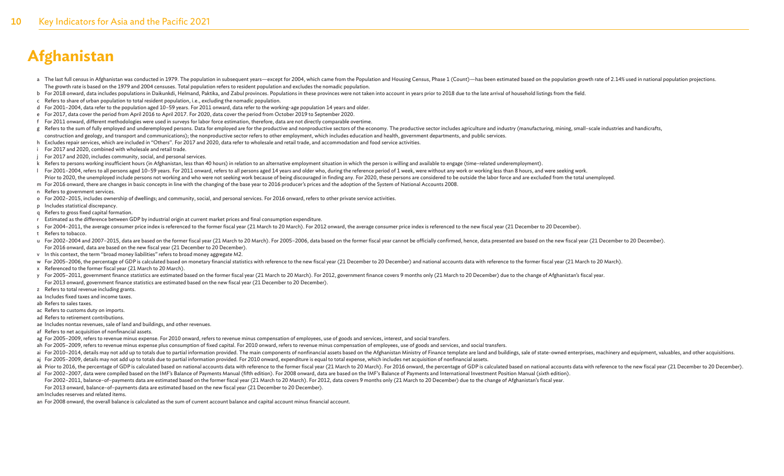- a The last full census in Afghanistan was conducted in 1979. The population in subsequent years—except for 2004, which came from the Population and Housing Census, Phase 1 (Count)—has been estimated based on the population The growth rate is based on the 1979 and 2004 censuses. Total population refers to resident population and excludes the nomadic population.
- b For 2018 onward, data includes populations in Daikunkdi, Helmand, Paktika, and Zabul provinces. Populations in these provinces were not taken into account in years prior to 2018 due to the late arrival of household listi
- c Refers to share of urban population to total resident population, i.e., excluding the nomadic population.
- d For 2001–2004, data refer to the population aged 10–59 years. For 2011 onward, data refer to the working-age population 14 years and older.
- e For 2017, data cover the period from April 2016 to April 2017. For 2020, data cover the period from October 2019 to September 2020.
- f For 2011 onward, different methodologies were used in surveys for labor force estimation, therefore, data are not directly comparable overtime.
- g Refers to the sum of fully employed and underemployed persons. Data for employed are for the productive and nonproductive sectors of the economy. The productive sector includes agriculture and industry (manufacturing, mi construction and geology, and transport and communications); the nonproductive sector refers to other employment, which includes education and health, government departments, and public services.
- h Excludes repair services, which are included in "Others". For 2017 and 2020, data refer to wholesale and retail trade, and accommodation and food service activities.
- i For 2017 and 2020, combined with wholesale and retail trade.
- j For 2017 and 2020, includes community, social, and personal services.
- k Refers to persons working insufficient hours (in Afghanistan, less than 40 hours) in relation to an alternative employment situation in which the person is willing and available to engage (time–related underemployment).
- 10-59 years. For 2001-2004, refers to all persons aged 10-59 years. For 2011 onward, refers to all persons aged 14 years and older who, during the reference period of 1 week, were without any work or working less than 8 ho Prior to 2020, the unemployed include persons not working and who were not seeking work because of being discouraged in finding any. For 2020, these persons are considered to be outside the labor force and are excluded fro
- m For 2016 onward, there are changes in basic concepts in line with the changing of the base year to 2016 producer's prices and the adoption of the System of National Accounts 2008.
- n Refers to government services.
- o For 2002–2015, includes ownership of dwellings; and community, social, and personal services. For 2016 onward, refers to other private service activities.
- p Includes statistical discrepancy.
- q Refers to gross fixed capital formation.
- r Estimated as the difference between GDP by industrial origin at current market prices and final consumption expenditure.
- s For 2004-2011, the average consumer price index is referenced to the former fiscal year (21 March to 20 March). For 2012 onward, the average consumer price index is referenced to the new fiscal year (21 December to 20 De
- t Refers to tobacco.
- u For 2002-2004 and 2007-2015, data are based on the former fiscal year (21 March to 20 March). For 2005-2006, data based on the former fiscal year cannot be officially confirmed, hence, data presented are based on the new For 2016 onward, data are based on the new fiscal year (21 December to 20 December).
- v In this context, the term "broad money liabilities" refers to broad money aggregate M2.
- w For 2005-2006, the percentage of GDP is calculated based on monetary financial statistics with reference to the new fiscal year (21 December to 20 December) and national accounts data with reference to the former fiscal
- x Referenced to the former fiscal year (21 March to 20 March).
- y For 2005-2011, government finance statistics are estimated based on the former fiscal year (21 March to 20 March). For 2012, government finance covers 9 months only (21 March to 20 December) due to the change of Afghanis For 2013 onward, government finance statistics are estimated based on the new fiscal year (21 December to 20 December).
- z Refers to total revenue including grants.
- aa Includes fixed taxes and income taxes.
- ab Refers to sales taxes.
- ac Refers to customs duty on imports.
- ad Refers to retirement contributions.
- ae Includes nontax revenues, sale of land and buildings, and other revenues.
- af Refers to net acquisition of nonfinancial assets.
- ag For 2005-2009, refers to revenue minus expense. For 2010 onward, refers to revenue minus compensation of employees, use of goods and services, interest, and social transfers.
- ah For 2005-2009, refers to revenue minus expense plus consumption of fixed capital. For 2010 onward, refers to revenue minus compensation of employees, use of goods and services, and social transfers.
- ai For 2010-2014, details may not add up to totals due to partial information provided. The main components of nonfinancial assets based on the Afghanistan Ministry of Finance template are land and buildings, sale of state
- aj For 2005-2009, details may not add up to totals due to partial information provided. For 2010 onward, expenditure is equal to total expense, which includes net acquisition of nonfinancial assets.
- ak Prior to 2016, the percentage of GDP is calculated based on national accounts data with reference to the former fiscal year (21 March to 20 March). For 2016 onward, the percentage of GDP is calculated based on national al For 2002-2007, data were compiled based on the IMF's Balance of Payments Manual (fifth edition). For 2008 onward, data are based on the IMF's Balance of Payments and International Investment Position Manual (sixth editi
- For 2002–2011, balance–of–payments data are estimated based on the former fiscal year (21 March to 20 March). For 2012, data covers 9 months only (21 March to 20 December) due to the change of Afghanistan's fiscal year.
- For 2013 onward, balance–of–payments data are estimated based on the new fiscal year (21 December to 20 December).
- amIncludes reserves and related items.
- an For 2008 onward, the overall balance is calculated as the sum of current account balance and capital account minus financial account.